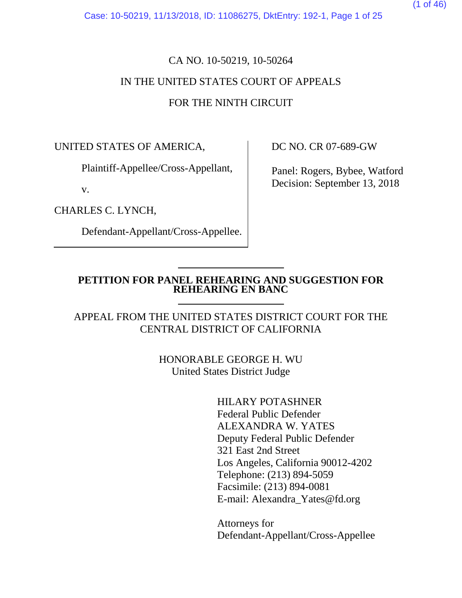Case: 10-50219, 11/13/2018, ID: 11086275, DktEntry: 192-1, Page 1 of 25

# CA NO. 10-50219, 10-50264 IN THE UNITED STATES COURT OF APPEALS FOR THE NINTH CIRCUIT

UNITED STATES OF AMERICA,

Plaintiff-Appellee/Cross-Appellant,

v.

CHARLES C. LYNCH,

Defendant-Appellant/Cross-Appellee.

DC NO. CR 07-689-GW

Panel: Rogers, Bybee, Watford Decision: September 13, 2018

## **PETITION FOR PANEL REHEARING AND SUGGESTION FOR REHEARING EN BANC**

APPEAL FROM THE UNITED STATES DISTRICT COURT FOR THE CENTRAL DISTRICT OF CALIFORNIA

> HONORABLE GEORGE H. WU United States District Judge

> > HILARY POTASHNER Federal Public Defender ALEXANDRA W. YATES Deputy Federal Public Defender 321 East 2nd Street Los Angeles, California 90012-4202 Telephone: (213) 894-5059 Facsimile: (213) 894-0081 E-mail: Alexandra\_Yates@fd.org

Attorneys for Defendant-Appellant/Cross-Appellee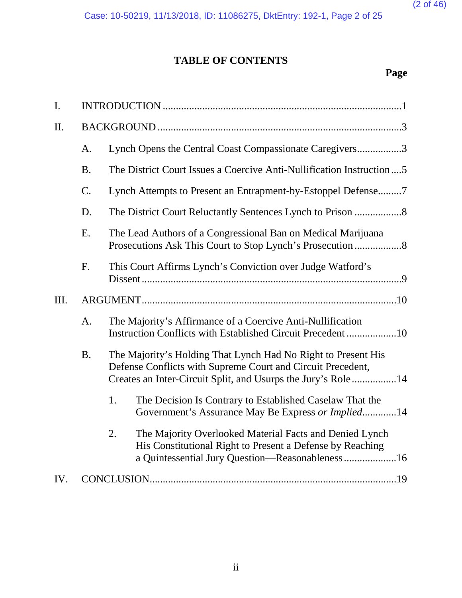# **TABLE OF CONTENTS**

# **Page**

| I.  |           |                                                                                                                                                                                              |  |
|-----|-----------|----------------------------------------------------------------------------------------------------------------------------------------------------------------------------------------------|--|
| II. |           |                                                                                                                                                                                              |  |
|     | A.        | Lynch Opens the Central Coast Compassionate Caregivers3                                                                                                                                      |  |
|     | <b>B.</b> | The District Court Issues a Coercive Anti-Nullification Instruction5                                                                                                                         |  |
|     | C.        | Lynch Attempts to Present an Entrapment-by-Estoppel Defense7                                                                                                                                 |  |
|     | D.        |                                                                                                                                                                                              |  |
|     | E.        | The Lead Authors of a Congressional Ban on Medical Marijuana                                                                                                                                 |  |
|     | F.        | This Court Affirms Lynch's Conviction over Judge Watford's                                                                                                                                   |  |
| Ш.  |           |                                                                                                                                                                                              |  |
|     | A.        | The Majority's Affirmance of a Coercive Anti-Nullification<br>Instruction Conflicts with Established Circuit Precedent10                                                                     |  |
|     | <b>B.</b> | The Majority's Holding That Lynch Had No Right to Present His<br>Defense Conflicts with Supreme Court and Circuit Precedent,<br>Creates an Inter-Circuit Split, and Usurps the Jury's Role14 |  |
|     |           | 1.<br>The Decision Is Contrary to Established Caselaw That the<br>Government's Assurance May Be Express or Implied14                                                                         |  |
|     |           | 2.<br>The Majority Overlooked Material Facts and Denied Lynch<br>His Constitutional Right to Present a Defense by Reaching<br>a Quintessential Jury Question-Reasonableness 16               |  |
| IV. |           |                                                                                                                                                                                              |  |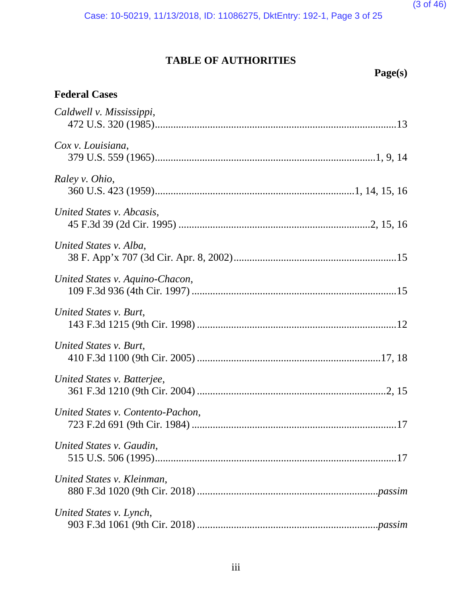# **TABLE OF AUTHORITIES**

# **Page(s)**

# **Federal Cases**

| Caldwell v. Mississippi,          |
|-----------------------------------|
| Cox v. Louisiana,                 |
| Raley v. Ohio,                    |
| United States v. Abcasis,         |
| United States v. Alba,            |
| United States v. Aquino-Chacon,   |
| United States v. Burt,            |
| United States v. Burt,            |
| United States v. Batterjee,       |
| United States v. Contento-Pachon, |
| United States v. Gaudin,          |
| United States v. Kleinman,        |
| United States v. Lynch,           |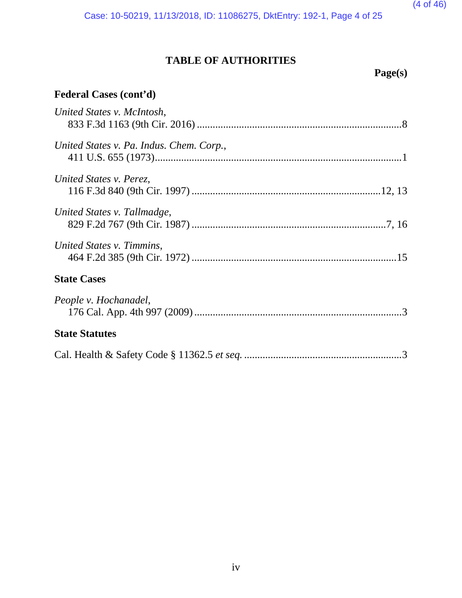Case: 10-50219, 11/13/2018, ID: 11086275, DktEntry: 192-1, Page 4 of 25

# **TABLE OF AUTHORITIES**

**Page(s)**

# **Federal Cases (cont'd)**

| United States v. McIntosh,               |
|------------------------------------------|
|                                          |
| United States v. Pa. Indus. Chem. Corp., |
|                                          |
| United States v. Perez,                  |
|                                          |
| United States v. Tallmadge,              |
|                                          |
| United States v. Timmins,                |
|                                          |
| <b>State Cases</b>                       |
| People v. Hochanadel,                    |
|                                          |
| <b>State Statutes</b>                    |
|                                          |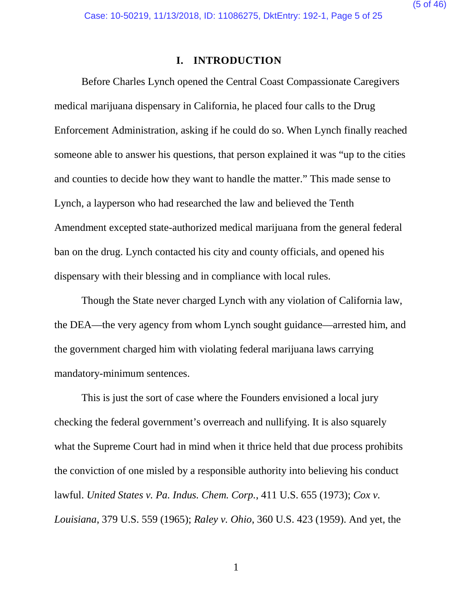(5 of 46)

## **I. INTRODUCTION**

Before Charles Lynch opened the Central Coast Compassionate Caregivers medical marijuana dispensary in California, he placed four calls to the Drug Enforcement Administration, asking if he could do so. When Lynch finally reached someone able to answer his questions, that person explained it was "up to the cities and counties to decide how they want to handle the matter." This made sense to Lynch, a layperson who had researched the law and believed the Tenth Amendment excepted state-authorized medical marijuana from the general federal ban on the drug. Lynch contacted his city and county officials, and opened his dispensary with their blessing and in compliance with local rules.

Though the State never charged Lynch with any violation of California law, the DEA—the very agency from whom Lynch sought guidance—arrested him, and the government charged him with violating federal marijuana laws carrying mandatory-minimum sentences.

<span id="page-4-2"></span>This is just the sort of case where the Founders envisioned a local jury checking the federal government's overreach and nullifying. It is also squarely what the Supreme Court had in mind when it thrice held that due process prohibits the conviction of one misled by a responsible authority into believing his conduct lawful. *United States v. Pa. Indus. Chem. Corp.*, 411 U.S. 655 (1973); *Cox v. Louisiana*, 379 U.S. 559 (1965); *Raley v. Ohio*, 360 U.S. 423 (1959). And yet, the

<span id="page-4-1"></span><span id="page-4-0"></span>1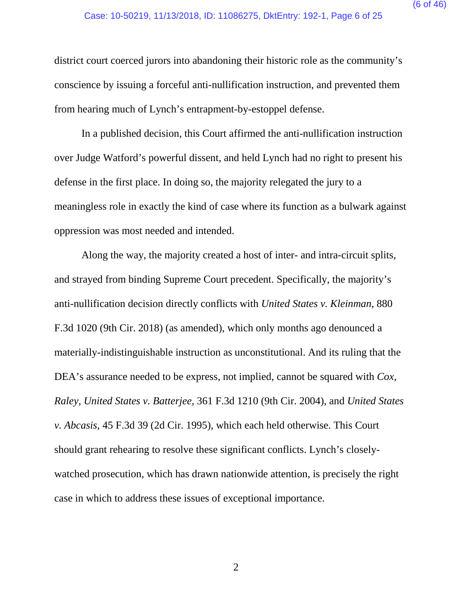district court coerced jurors into abandoning their historic role as the community's conscience by issuing a forceful anti-nullification instruction, and prevented them from hearing much of Lynch's entrapment-by-estoppel defense.

In a published decision, this Court affirmed the anti-nullification instruction over Judge Watford's powerful dissent, and held Lynch had no right to present his defense in the first place. In doing so, the majority relegated the jury to a meaningless role in exactly the kind of case where its function as a bulwark against oppression was most needed and intended.

<span id="page-5-2"></span><span id="page-5-1"></span><span id="page-5-0"></span>Along the way, the majority created a host of inter- and intra-circuit splits, and strayed from binding Supreme Court precedent. Specifically, the majority's anti-nullification decision directly conflicts with *United States v. Kleinman*, 880 F.3d 1020 (9th Cir. 2018) (as amended), which only months ago denounced a materially-indistinguishable instruction as unconstitutional. And its ruling that the DEA's assurance needed to be express, not implied, cannot be squared with *Cox*, *Raley*, *United States v. Batterjee*, 361 F.3d 1210 (9th Cir. 2004), and *United States v. Abcasis*, 45 F.3d 39 (2d Cir. 1995), which each held otherwise. This Court should grant rehearing to resolve these significant conflicts. Lynch's closelywatched prosecution, which has drawn nationwide attention, is precisely the right case in which to address these issues of exceptional importance.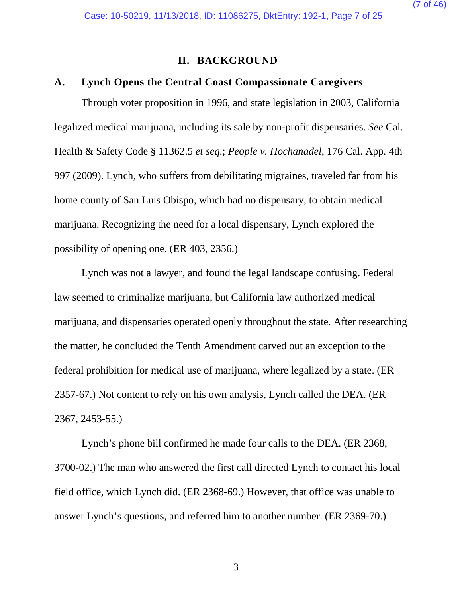<span id="page-6-1"></span>(7 of 46)

## <span id="page-6-0"></span>**II. BACKGROUND**

## **A. Lynch Opens the Central Coast Compassionate Caregivers**

Through voter proposition in 1996, and state legislation in 2003, California legalized medical marijuana, including its sale by non-profit dispensaries. *See* Cal. Health & Safety Code § 11362.5 *et seq.*; *People v. Hochanadel*, 176 Cal. App. 4th 997 (2009). Lynch, who suffers from debilitating migraines, traveled far from his home county of San Luis Obispo, which had no dispensary, to obtain medical marijuana. Recognizing the need for a local dispensary, Lynch explored the possibility of opening one. (ER 403, 2356.)

Lynch was not a lawyer, and found the legal landscape confusing. Federal law seemed to criminalize marijuana, but California law authorized medical marijuana, and dispensaries operated openly throughout the state. After researching the matter, he concluded the Tenth Amendment carved out an exception to the federal prohibition for medical use of marijuana, where legalized by a state. (ER 2357-67.) Not content to rely on his own analysis, Lynch called the DEA. (ER 2367, 2453-55.)

Lynch's phone bill confirmed he made four calls to the DEA. (ER 2368, 3700-02.) The man who answered the first call directed Lynch to contact his local field office, which Lynch did. (ER 2368-69.) However, that office was unable to answer Lynch's questions, and referred him to another number. (ER 2369-70.)

3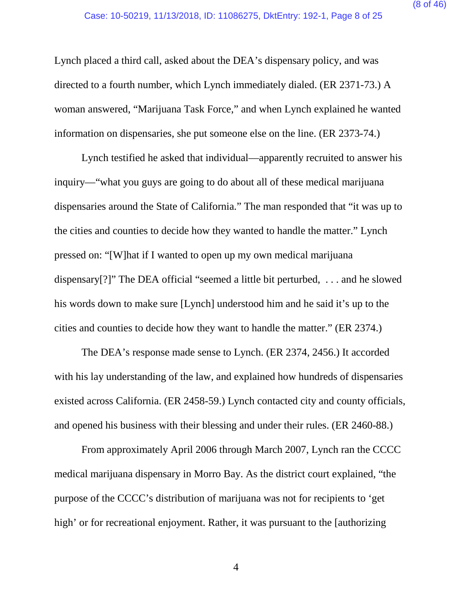Lynch placed a third call, asked about the DEA's dispensary policy, and was directed to a fourth number, which Lynch immediately dialed. (ER 2371-73.) A woman answered, "Marijuana Task Force," and when Lynch explained he wanted information on dispensaries, she put someone else on the line. (ER 2373-74.)

Lynch testified he asked that individual—apparently recruited to answer his inquiry—"what you guys are going to do about all of these medical marijuana dispensaries around the State of California." The man responded that "it was up to the cities and counties to decide how they wanted to handle the matter." Lynch pressed on: "[W]hat if I wanted to open up my own medical marijuana dispensary[?]" The DEA official "seemed a little bit perturbed, . . . and he slowed his words down to make sure [Lynch] understood him and he said it's up to the cities and counties to decide how they want to handle the matter." (ER 2374.)

The DEA's response made sense to Lynch. (ER 2374, 2456.) It accorded with his lay understanding of the law, and explained how hundreds of dispensaries existed across California. (ER 2458-59.) Lynch contacted city and county officials, and opened his business with their blessing and under their rules. (ER 2460-88.)

From approximately April 2006 through March 2007, Lynch ran the CCCC medical marijuana dispensary in Morro Bay. As the district court explained, "the purpose of the CCCC's distribution of marijuana was not for recipients to 'get high' or for recreational enjoyment. Rather, it was pursuant to the [authorizing

4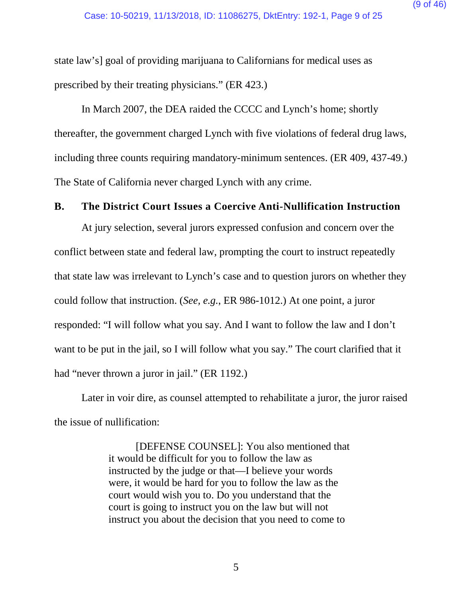state law's] goal of providing marijuana to Californians for medical uses as prescribed by their treating physicians." (ER 423.)

In March 2007, the DEA raided the CCCC and Lynch's home; shortly thereafter, the government charged Lynch with five violations of federal drug laws, including three counts requiring mandatory-minimum sentences. (ER 409, 437-49.) The State of California never charged Lynch with any crime.

## **B. The District Court Issues a Coercive Anti-Nullification Instruction**

At jury selection, several jurors expressed confusion and concern over the conflict between state and federal law, prompting the court to instruct repeatedly that state law was irrelevant to Lynch's case and to question jurors on whether they could follow that instruction. (*See, e.g.*, ER 986-1012.) At one point, a juror responded: "I will follow what you say. And I want to follow the law and I don't want to be put in the jail, so I will follow what you say." The court clarified that it had "never thrown a juror in jail." (ER 1192.)

Later in voir dire, as counsel attempted to rehabilitate a juror, the juror raised the issue of nullification:

> [DEFENSE COUNSEL]: You also mentioned that it would be difficult for you to follow the law as instructed by the judge or that—I believe your words were, it would be hard for you to follow the law as the court would wish you to. Do you understand that the court is going to instruct you on the law but will not instruct you about the decision that you need to come to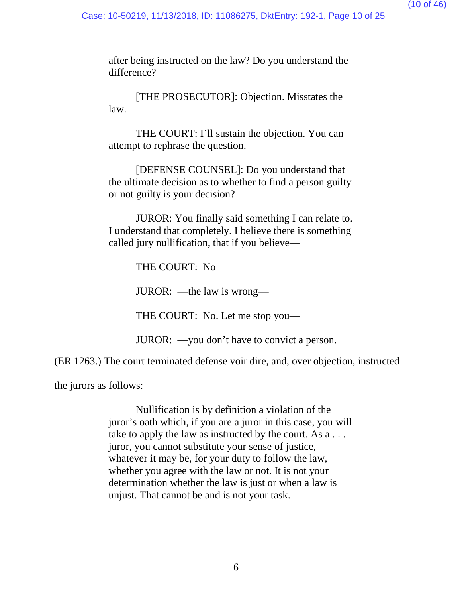after being instructed on the law? Do you understand the difference?

[THE PROSECUTOR]: Objection. Misstates the law.

THE COURT: I'll sustain the objection. You can attempt to rephrase the question.

[DEFENSE COUNSEL]: Do you understand that the ultimate decision as to whether to find a person guilty or not guilty is your decision?

JUROR: You finally said something I can relate to. I understand that completely. I believe there is something called jury nullification, that if you believe—

THE COURT: No—

JUROR: —the law is wrong—

THE COURT: No. Let me stop you—

JUROR: —you don't have to convict a person.

(ER 1263.) The court terminated defense voir dire, and, over objection, instructed

the jurors as follows:

Nullification is by definition a violation of the juror's oath which, if you are a juror in this case, you will take to apply the law as instructed by the court. As a . . . juror, you cannot substitute your sense of justice, whatever it may be, for your duty to follow the law, whether you agree with the law or not. It is not your determination whether the law is just or when a law is unjust. That cannot be and is not your task.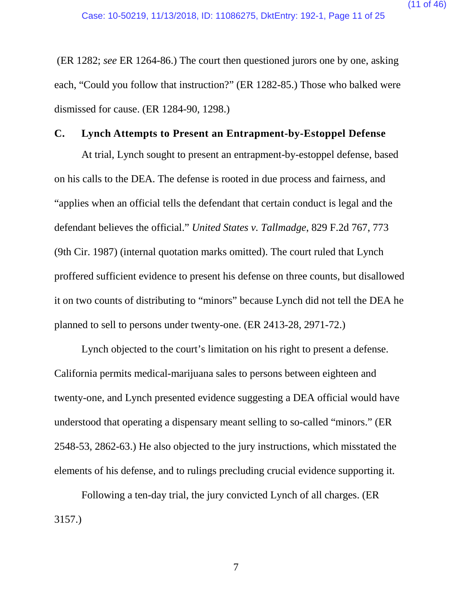(ER 1282; *see* ER 1264-86.) The court then questioned jurors one by one, asking each, "Could you follow that instruction?" (ER 1282-85.) Those who balked were dismissed for cause. (ER 1284-90, 1298.)

## **C. Lynch Attempts to Present an Entrapment-by-Estoppel Defense**

<span id="page-10-0"></span>At trial, Lynch sought to present an entrapment-by-estoppel defense, based on his calls to the DEA. The defense is rooted in due process and fairness, and "applies when an official tells the defendant that certain conduct is legal and the defendant believes the official." *United States v. Tallmadge*, 829 F.2d 767, 773 (9th Cir. 1987) (internal quotation marks omitted). The court ruled that Lynch proffered sufficient evidence to present his defense on three counts, but disallowed it on two counts of distributing to "minors" because Lynch did not tell the DEA he planned to sell to persons under twenty-one. (ER 2413-28, 2971-72.)

Lynch objected to the court's limitation on his right to present a defense. California permits medical-marijuana sales to persons between eighteen and twenty-one, and Lynch presented evidence suggesting a DEA official would have understood that operating a dispensary meant selling to so-called "minors." (ER 2548-53, 2862-63.) He also objected to the jury instructions, which misstated the elements of his defense, and to rulings precluding crucial evidence supporting it.

Following a ten-day trial, the jury convicted Lynch of all charges. (ER 3157.)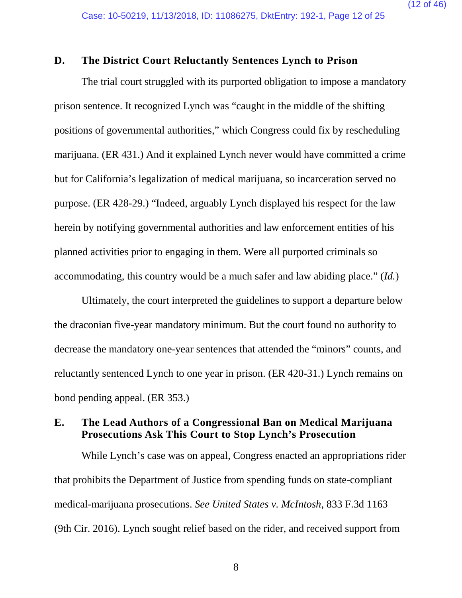(12 of 46)

## **D. The District Court Reluctantly Sentences Lynch to Prison**

The trial court struggled with its purported obligation to impose a mandatory prison sentence. It recognized Lynch was "caught in the middle of the shifting positions of governmental authorities," which Congress could fix by rescheduling marijuana. (ER 431.) And it explained Lynch never would have committed a crime but for California's legalization of medical marijuana, so incarceration served no purpose. (ER 428-29.) "Indeed, arguably Lynch displayed his respect for the law herein by notifying governmental authorities and law enforcement entities of his planned activities prior to engaging in them. Were all purported criminals so accommodating, this country would be a much safer and law abiding place." (*Id.*)

Ultimately, the court interpreted the guidelines to support a departure below the draconian five-year mandatory minimum. But the court found no authority to decrease the mandatory one-year sentences that attended the "minors" counts, and reluctantly sentenced Lynch to one year in prison. (ER 420-31.) Lynch remains on bond pending appeal. (ER 353.)

## **E. The Lead Authors of a Congressional Ban on Medical Marijuana Prosecutions Ask This Court to Stop Lynch's Prosecution**

<span id="page-11-0"></span>While Lynch's case was on appeal, Congress enacted an appropriations rider that prohibits the Department of Justice from spending funds on state-compliant medical-marijuana prosecutions. *See United States v. McIntosh*, 833 F.3d 1163 (9th Cir. 2016). Lynch sought relief based on the rider, and received support from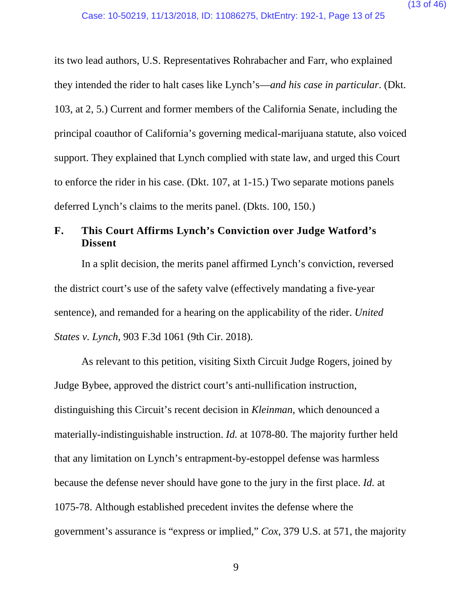its two lead authors, U.S. Representatives Rohrabacher and Farr, who explained they intended the rider to halt cases like Lynch's—*and his case in particular*. (Dkt. 103, at 2, 5.) Current and former members of the California Senate, including the principal coauthor of California's governing medical-marijuana statute, also voiced support. They explained that Lynch complied with state law, and urged this Court to enforce the rider in his case. (Dkt. 107, at 1-15.) Two separate motions panels deferred Lynch's claims to the merits panel. (Dkts. 100, 150.)

# **F. This Court Affirms Lynch's Conviction over Judge Watford's Dissent**

<span id="page-12-1"></span>In a split decision, the merits panel affirmed Lynch's conviction, reversed the district court's use of the safety valve (effectively mandating a five-year sentence), and remanded for a hearing on the applicability of the rider. *United States v. Lynch*, 903 F.3d 1061 (9th Cir. 2018).

<span id="page-12-0"></span>As relevant to this petition, visiting Sixth Circuit Judge Rogers, joined by Judge Bybee, approved the district court's anti-nullification instruction, distinguishing this Circuit's recent decision in *Kleinman*, which denounced a materially-indistinguishable instruction. *Id.* at 1078-80. The majority further held that any limitation on Lynch's entrapment-by-estoppel defense was harmless because the defense never should have gone to the jury in the first place. *Id.* at 1075-78. Although established precedent invites the defense where the government's assurance is "express or implied," *Cox*, 379 U.S. at 571, the majority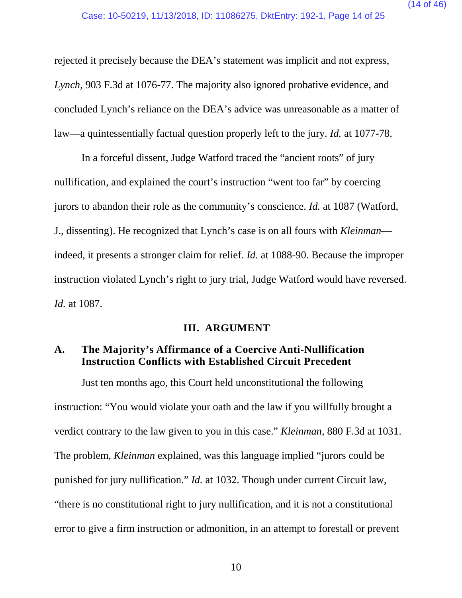rejected it precisely because the DEA's statement was implicit and not express, *Lynch*, 903 F.3d at 1076-77. The majority also ignored probative evidence, and concluded Lynch's reliance on the DEA's advice was unreasonable as a matter of law—a quintessentially factual question properly left to the jury. *Id.* at 1077-78.

In a forceful dissent, Judge Watford traced the "ancient roots" of jury nullification, and explained the court's instruction "went too far" by coercing jurors to abandon their role as the community's conscience. *Id.* at 1087 (Watford, J., dissenting). He recognized that Lynch's case is on all fours with *Kleinman* indeed, it presents a stronger claim for relief. *Id.* at 1088-90. Because the improper instruction violated Lynch's right to jury trial, Judge Watford would have reversed. *Id.* at 1087.

## **III. ARGUMENT**

# **A. The Majority's Affirmance of a Coercive Anti-Nullification Instruction Conflicts with Established Circuit Precedent**

Just ten months ago, this Court held unconstitutional the following instruction: "You would violate your oath and the law if you willfully brought a verdict contrary to the law given to you in this case." *Kleinman*, 880 F.3d at 1031. The problem, *Kleinman* explained, was this language implied "jurors could be punished for jury nullification." *Id.* at 1032. Though under current Circuit law, "there is no constitutional right to jury nullification, and it is not a constitutional error to give a firm instruction or admonition, in an attempt to forestall or prevent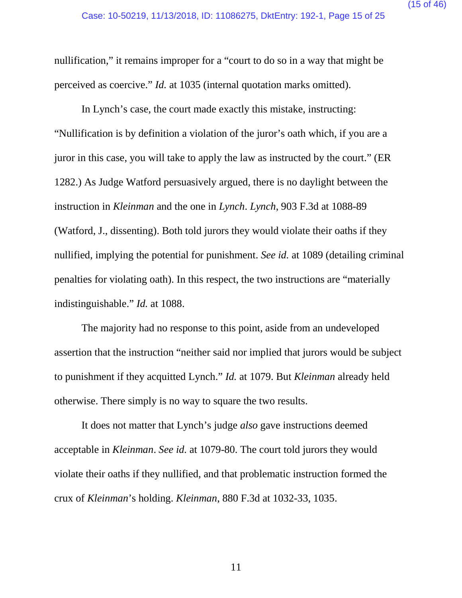nullification," it remains improper for a "court to do so in a way that might be perceived as coercive." *Id.* at 1035 (internal quotation marks omitted).

In Lynch's case, the court made exactly this mistake, instructing: "Nullification is by definition a violation of the juror's oath which, if you are a juror in this case, you will take to apply the law as instructed by the court." (ER 1282.) As Judge Watford persuasively argued, there is no daylight between the instruction in *Kleinman* and the one in *Lynch*. *Lynch*, 903 F.3d at 1088-89 (Watford, J., dissenting). Both told jurors they would violate their oaths if they nullified, implying the potential for punishment. *See id.* at 1089 (detailing criminal penalties for violating oath). In this respect, the two instructions are "materially indistinguishable." *Id.* at 1088.

The majority had no response to this point, aside from an undeveloped assertion that the instruction "neither said nor implied that jurors would be subject to punishment if they acquitted Lynch." *Id.* at 1079. But *Kleinman* already held otherwise. There simply is no way to square the two results.

It does not matter that Lynch's judge *also* gave instructions deemed acceptable in *Kleinman*. *See id.* at 1079-80. The court told jurors they would violate their oaths if they nullified, and that problematic instruction formed the crux of *Kleinman*'s holding. *Kleinman*, 880 F.3d at 1032-33, 1035.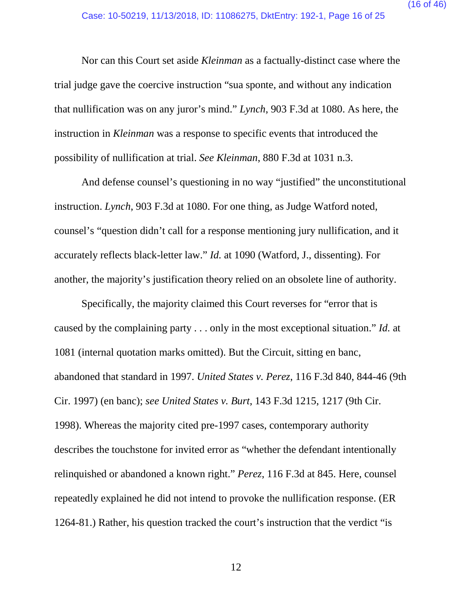Nor can this Court set aside *Kleinman* as a factually-distinct case where the trial judge gave the coercive instruction "sua sponte, and without any indication that nullification was on any juror's mind." *Lynch*, 903 F.3d at 1080. As here, the instruction in *Kleinman* was a response to specific events that introduced the possibility of nullification at trial. *See Kleinman*, 880 F.3d at 1031 n.3.

And defense counsel's questioning in no way "justified" the unconstitutional instruction. *Lynch*, 903 F.3d at 1080. For one thing, as Judge Watford noted, counsel's "question didn't call for a response mentioning jury nullification, and it accurately reflects black-letter law." *Id.* at 1090 (Watford, J., dissenting). For another, the majority's justification theory relied on an obsolete line of authority.

<span id="page-15-1"></span><span id="page-15-0"></span>Specifically, the majority claimed this Court reverses for "error that is caused by the complaining party . . . only in the most exceptional situation." *Id.* at 1081 (internal quotation marks omitted). But the Circuit, sitting en banc, abandoned that standard in 1997. *United States v. Perez*, 116 F.3d 840, 844-46 (9th Cir. 1997) (en banc); *see United States v. Burt*, 143 F.3d 1215, 1217 (9th Cir. 1998). Whereas the majority cited pre-1997 cases, contemporary authority describes the touchstone for invited error as "whether the defendant intentionally relinquished or abandoned a known right." *Perez*, 116 F.3d at 845. Here, counsel repeatedly explained he did not intend to provoke the nullification response. (ER 1264-81.) Rather, his question tracked the court's instruction that the verdict "is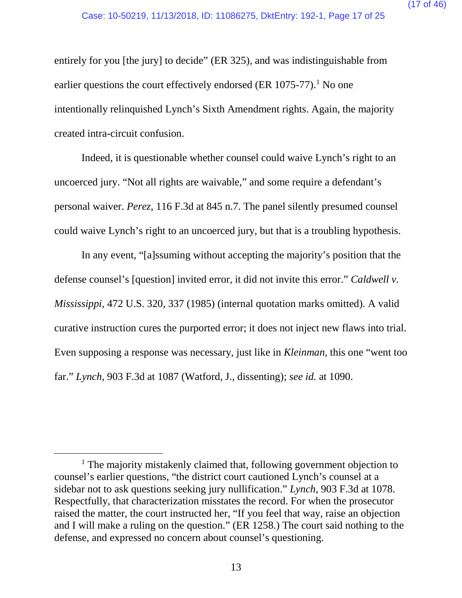entirely for you [the jury] to decide" (ER 325), and was indistinguishable from earlier questions the court effectively endorsed (ER  $1075-77$ ).<sup>1</sup> No one intentionally relinquished Lynch's Sixth Amendment rights. Again, the majority created intra-circuit confusion.

<span id="page-16-1"></span>Indeed, it is questionable whether counsel could waive Lynch's right to an uncoerced jury. "Not all rights are waivable," and some require a defendant's personal waiver. *Perez*, 116 F.3d at 845 n.7. The panel silently presumed counsel could waive Lynch's right to an uncoerced jury, but that is a troubling hypothesis.

<span id="page-16-0"></span>In any event, "[a]ssuming without accepting the majority's position that the defense counsel's [question] invited error, it did not invite this error." *Caldwell v. Mississippi*, 472 U.S. 320, 337 (1985) (internal quotation marks omitted). A valid curative instruction cures the purported error; it does not inject new flaws into trial. Even supposing a response was necessary, just like in *Kleinman*, this one "went too far." *Lynch*, 903 F.3d at 1087 (Watford, J., dissenting); *see id.* at 1090.

<span id="page-16-2"></span><sup>&</sup>lt;sup>1</sup> The majority mistakenly claimed that, following government objection to counsel's earlier questions, "the district court cautioned Lynch's counsel at a sidebar not to ask questions seeking jury nullification." *Lynch*, 903 F.3d at 1078. Respectfully, that characterization misstates the record. For when the prosecutor raised the matter, the court instructed her, "If you feel that way, raise an objection and I will make a ruling on the question." (ER 1258.) The court said nothing to the defense, and expressed no concern about counsel's questioning.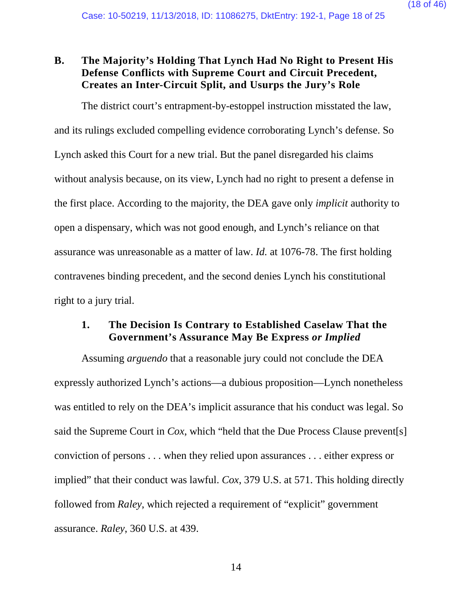# **B. The Majority's Holding That Lynch Had No Right to Present His Defense Conflicts with Supreme Court and Circuit Precedent, Creates an Inter-Circuit Split, and Usurps the Jury's Role**

The district court's entrapment-by-estoppel instruction misstated the law, and its rulings excluded compelling evidence corroborating Lynch's defense. So Lynch asked this Court for a new trial. But the panel disregarded his claims without analysis because, on its view, Lynch had no right to present a defense in the first place. According to the majority, the DEA gave only *implicit* authority to open a dispensary, which was not good enough, and Lynch's reliance on that assurance was unreasonable as a matter of law. *Id.* at 1076-78. The first holding contravenes binding precedent, and the second denies Lynch his constitutional right to a jury trial.

## **1. The Decision Is Contrary to Established Caselaw That the Government's Assurance May Be Express** *or Implied*

<span id="page-17-1"></span><span id="page-17-0"></span>Assuming *arguendo* that a reasonable jury could not conclude the DEA expressly authorized Lynch's actions—a dubious proposition—Lynch nonetheless was entitled to rely on the DEA's implicit assurance that his conduct was legal. So said the Supreme Court in *Cox*, which "held that the Due Process Clause prevent[s] conviction of persons . . . when they relied upon assurances . . . either express or implied" that their conduct was lawful. *Cox*, 379 U.S. at 571. This holding directly followed from *Raley*, which rejected a requirement of "explicit" government assurance. *Raley*, 360 U.S. at 439.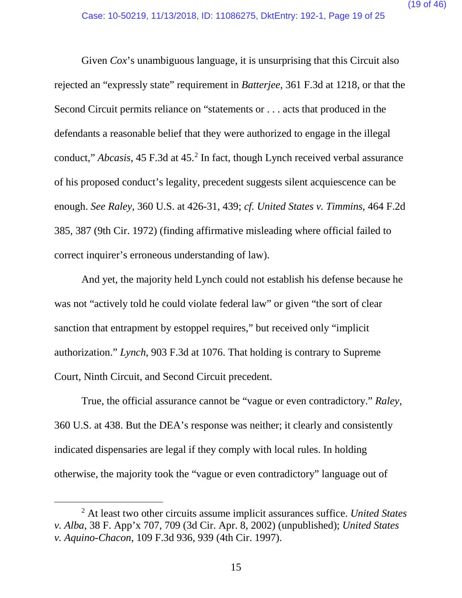<span id="page-18-4"></span><span id="page-18-1"></span>Given *Cox*'s unambiguous language, it is unsurprising that this Circuit also rejected an "expressly state" requirement in *Batterjee*, 361 F.3d at 1218, or that the Second Circuit permits reliance on "statements or . . . acts that produced in the defendants a reasonable belief that they were authorized to engage in the illegal conduct," *Abcasis*, 45 F.3d at 45.<sup>[2](#page-18-6)</sup> In fact, though Lynch received verbal assurance of his proposed conduct's legality, precedent suggests silent acquiescence can be enough. *See Raley*, 360 U.S. at 426-31, 439; *cf. United States v. Timmins*, 464 F.2d 385, 387 (9th Cir. 1972) (finding affirmative misleading where official failed to correct inquirer's erroneous understanding of law).

<span id="page-18-5"></span><span id="page-18-0"></span>And yet, the majority held Lynch could not establish his defense because he was not "actively told he could violate federal law" or given "the sort of clear sanction that entrapment by estoppel requires," but received only "implicit authorization." *Lynch*, 903 F.3d at 1076. That holding is contrary to Supreme Court, Ninth Circuit, and Second Circuit precedent.

True, the official assurance cannot be "vague or even contradictory." *Raley*, 360 U.S. at 438. But the DEA's response was neither; it clearly and consistently indicated dispensaries are legal if they comply with local rules. In holding otherwise, the majority took the "vague or even contradictory" language out of

<span id="page-18-6"></span><span id="page-18-3"></span><span id="page-18-2"></span> <sup>2</sup> At least two other circuits assume implicit assurances suffice. *United States v. Alba*, 38 F. App'x 707, 709 (3d Cir. Apr. 8, 2002) (unpublished); *United States v. Aquino-Chacon*, 109 F.3d 936, 939 (4th Cir. 1997).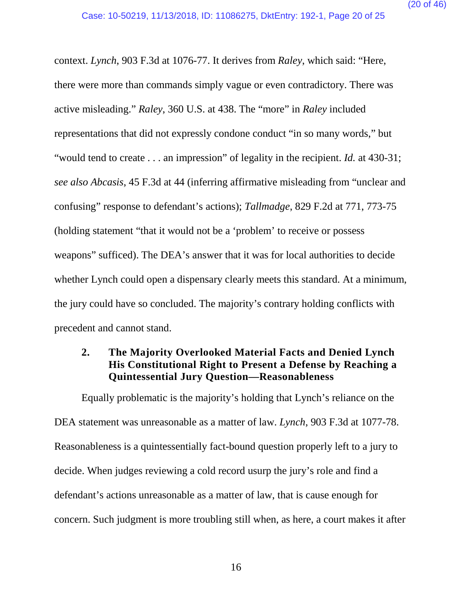<span id="page-19-1"></span><span id="page-19-0"></span>context. *Lynch*, 903 F.3d at 1076-77. It derives from *Raley*, which said: "Here, there were more than commands simply vague or even contradictory. There was active misleading." *Raley*, 360 U.S. at 438. The "more" in *Raley* included representations that did not expressly condone conduct "in so many words," but "would tend to create . . . an impression" of legality in the recipient. *Id.* at 430-31; *see also Abcasis*, 45 F.3d at 44 (inferring affirmative misleading from "unclear and confusing" response to defendant's actions); *Tallmadge*, 829 F.2d at 771, 773-75 (holding statement "that it would not be a 'problem' to receive or possess weapons" sufficed). The DEA's answer that it was for local authorities to decide whether Lynch could open a dispensary clearly meets this standard. At a minimum, the jury could have so concluded. The majority's contrary holding conflicts with precedent and cannot stand.

# <span id="page-19-2"></span>**2. The Majority Overlooked Material Facts and Denied Lynch His Constitutional Right to Present a Defense by Reaching a Quintessential Jury Question—Reasonableness**

Equally problematic is the majority's holding that Lynch's reliance on the DEA statement was unreasonable as a matter of law. *Lynch*, 903 F.3d at 1077-78. Reasonableness is a quintessentially fact-bound question properly left to a jury to decide. When judges reviewing a cold record usurp the jury's role and find a defendant's actions unreasonable as a matter of law, that is cause enough for concern. Such judgment is more troubling still when, as here, a court makes it after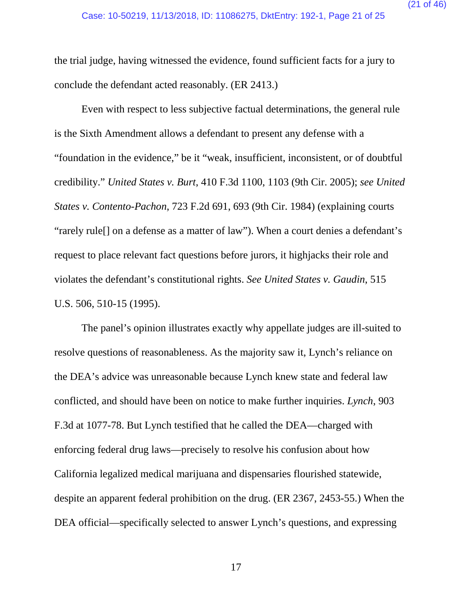the trial judge, having witnessed the evidence, found sufficient facts for a jury to conclude the defendant acted reasonably. (ER 2413.)

<span id="page-20-1"></span><span id="page-20-0"></span>Even with respect to less subjective factual determinations, the general rule is the Sixth Amendment allows a defendant to present any defense with a "foundation in the evidence," be it "weak, insufficient, inconsistent, or of doubtful credibility." *United States v. Burt*, 410 F.3d 1100, 1103 (9th Cir. 2005); *see United States v. Contento-Pachon*, 723 F.2d 691, 693 (9th Cir. 1984) (explaining courts "rarely rule[] on a defense as a matter of law"). When a court denies a defendant's request to place relevant fact questions before jurors, it highjacks their role and violates the defendant's constitutional rights. *See United States v. Gaudin*, 515 U.S. 506, 510-15 (1995).

<span id="page-20-2"></span>The panel's opinion illustrates exactly why appellate judges are ill-suited to resolve questions of reasonableness. As the majority saw it, Lynch's reliance on the DEA's advice was unreasonable because Lynch knew state and federal law conflicted, and should have been on notice to make further inquiries. *Lynch*, 903 F.3d at 1077-78. But Lynch testified that he called the DEA—charged with enforcing federal drug laws—precisely to resolve his confusion about how California legalized medical marijuana and dispensaries flourished statewide, despite an apparent federal prohibition on the drug. (ER 2367, 2453-55.) When the DEA official—specifically selected to answer Lynch's questions, and expressing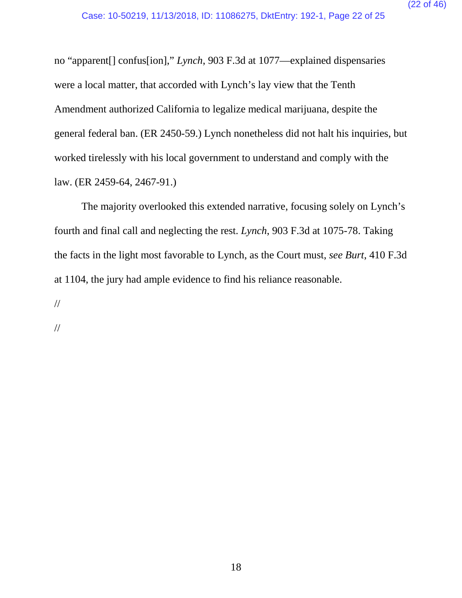no "apparent[] confus[ion]," *Lynch*, 903 F.3d at 1077—explained dispensaries were a local matter, that accorded with Lynch's lay view that the Tenth Amendment authorized California to legalize medical marijuana, despite the general federal ban. (ER 2450-59.) Lynch nonetheless did not halt his inquiries, but worked tirelessly with his local government to understand and comply with the law. (ER 2459-64, 2467-91.)

<span id="page-21-0"></span>The majority overlooked this extended narrative, focusing solely on Lynch's fourth and final call and neglecting the rest. *Lynch*, 903 F.3d at 1075-78. Taking the facts in the light most favorable to Lynch, as the Court must, *see Burt*, 410 F.3d at 1104, the jury had ample evidence to find his reliance reasonable.

//

//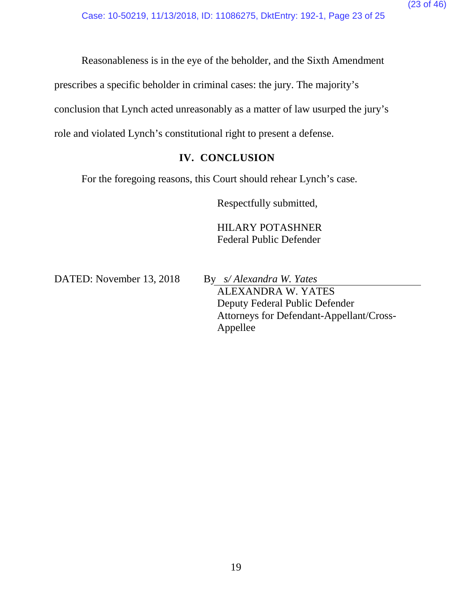Reasonableness is in the eye of the beholder, and the Sixth Amendment

prescribes a specific beholder in criminal cases: the jury. The majority's

conclusion that Lynch acted unreasonably as a matter of law usurped the jury's

role and violated Lynch's constitutional right to present a defense.

# **IV. CONCLUSION**

For the foregoing reasons, this Court should rehear Lynch's case.

Respectfully submitted,

HILARY POTASHNER Federal Public Defender

DATED: November 13, 2018 By *s/ Alexandra W. Yates*

ALEXANDRA W. YATES Deputy Federal Public Defender Attorneys for Defendant-Appellant/Cross-Appellee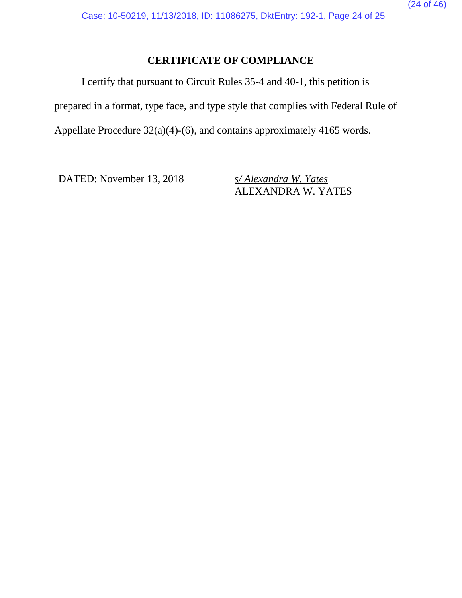# **CERTIFICATE OF COMPLIANCE**

I certify that pursuant to Circuit Rules 35-4 and 40-1, this petition is

prepared in a format, type face, and type style that complies with Federal Rule of

Appellate Procedure 32(a)(4)-(6), and contains approximately 4165 words.

DATED: November 13, 2018 *s/ Alexandra W. Yates* 

ALEXANDRA W. YATES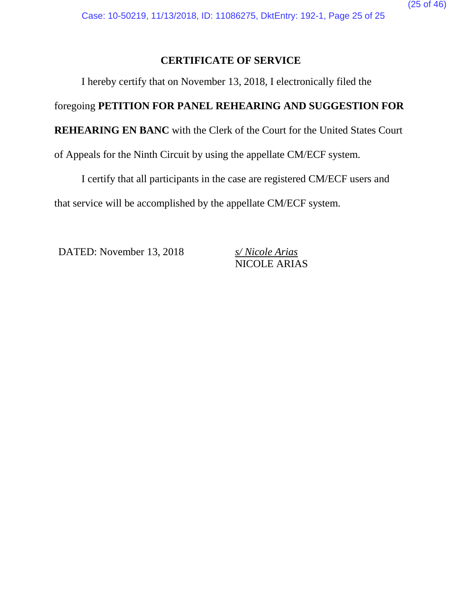# **CERTIFICATE OF SERVICE**

I hereby certify that on November 13, 2018, I electronically filed the

# foregoing **PETITION FOR PANEL REHEARING AND SUGGESTION FOR**

**REHEARING EN BANC** with the Clerk of the Court for the United States Court

of Appeals for the Ninth Circuit by using the appellate CM/ECF system.

I certify that all participants in the case are registered CM/ECF users and that service will be accomplished by the appellate CM/ECF system.

DATED: November 13, 2018 *s/ Nicole Arias*

NICOLE ARIAS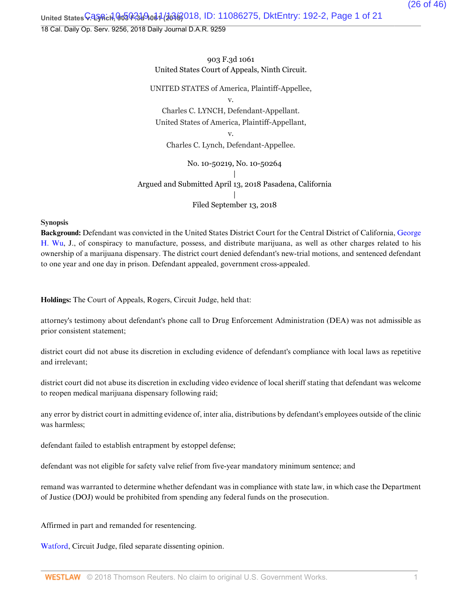United States **V. LyAch, ዓo5 0-31 9.041 (2018**, ID: 11086275, DktEntry: 192-2, Page 1 of 21

18 Cal. Daily Op. Serv. 9256, 2018 Daily Journal D.A.R. 9259

903 F.3d 1061 United States Court of Appeals, Ninth Circuit.

UNITED STATES of America, Plaintiff-Appellee, v. Charles C. LYNCH, Defendant-Appellant. United States of America, Plaintiff-Appellant, v. Charles C. Lynch, Defendant-Appellee. No. 10-50219, No. 10-50264 | Argued and Submitted April 13, 2018 Pasadena, California | Filed September 13, 2018

**Synopsis**

**Background:** Defendant was convicted in the United States District Court for the Central District of California, George H. Wu, J., of conspiracy to manufacture, possess, and distribute marijuana, as well as other charges related to his ownership of a marijuana dispensary. The district court denied defendant's new-trial motions, and sentenced defendant to one year and one day in prison. Defendant appealed, government cross-appealed.

**Holdings:** The Court of Appeals, Rogers, Circuit Judge, held that:

attorney's testimony about defendant's phone call to Drug Enforcement Administration (DEA) was not admissible as prior consistent statement;

district court did not abuse its discretion in excluding evidence of defendant's compliance with local laws as repetitive and irrelevant;

district court did not abuse its discretion in excluding video evidence of local sheriff stating that defendant was welcome to reopen medical marijuana dispensary following raid;

any error by district court in admitting evidence of, inter alia, distributions by defendant's employees outside of the clinic was harmless;

defendant failed to establish entrapment by estoppel defense;

defendant was not eligible for safety valve relief from five-year mandatory minimum sentence; and

remand was warranted to determine whether defendant was in compliance with state law, in which case the Department of Justice (DOJ) would be prohibited from spending any federal funds on the prosecution.

Affirmed in part and remanded for resentencing.

Watford, Circuit Judge, filed separate dissenting opinion.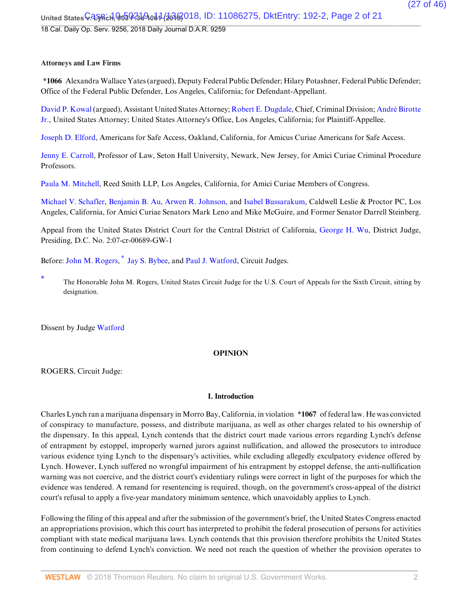#### **Attorneys and Law Firms**

**\*1066** Alexandra Wallace Yates (argued), Deputy Federal Public Defender; Hilary Potashner, Federal Public Defender; Office of the Federal Public Defender, Los Angeles, California; for Defendant-Appellant.

David P. Kowal (argued), Assistant United States Attorney; Robert E. Dugdale, Chief, Criminal Division; André Birotte Jr., United States Attorney; United States Attorney's Office, Los Angeles, California; for Plaintiff-Appellee.

Joseph D. Elford, Americans for Safe Access, Oakland, California, for Amicus Curiae Americans for Safe Access.

Jenny E. Carroll, Professor of Law, Seton Hall University, Newark, New Jersey, for Amici Curiae Criminal Procedure Professors.

Paula M. Mitchell, Reed Smith LLP, Los Angeles, California, for Amici Curiae Members of Congress.

Michael V. Schafler, Benjamin B. Au, Arwen R. Johnson, and Isabel Bussarakum, Caldwell Leslie & Proctor PC, Los Angeles, California, for Amici Curiae Senators Mark Leno and Mike McGuire, and Former Senator Darrell Steinberg.

Appeal from the United States District Court for the Central District of California, George H. Wu, District Judge, Presiding, D.C. No. 2:07-cr-00689-GW-1

Before: John M. Rogers,  $*$  Jay S. Bybee, and Paul J. Watford, Circuit Judges.

The Honorable John M. Rogers, United States Circuit Judge for the U.S. Court of Appeals for the Sixth Circuit, sitting by designation.

Dissent by Judge Watford

### **OPINION**

ROGERS, Circuit Judge:

#### **I. Introduction**

Charles Lynch ran a marijuana dispensary in Morro Bay, California, in violation **\*1067** of federal law. He was convicted of conspiracy to manufacture, possess, and distribute marijuana, as well as other charges related to his ownership of the dispensary. In this appeal, Lynch contends that the district court made various errors regarding Lynch's defense of entrapment by estoppel, improperly warned jurors against nullification, and allowed the prosecutors to introduce various evidence tying Lynch to the dispensary's activities, while excluding allegedly exculpatory evidence offered by Lynch. However, Lynch suffered no wrongful impairment of his entrapment by estoppel defense, the anti-nullification warning was not coercive, and the district court's evidentiary rulings were correct in light of the purposes for which the evidence was tendered. A remand for resentencing is required, though, on the government's cross-appeal of the district court's refusal to apply a five-year mandatory minimum sentence, which unavoidably applies to Lynch.

Following the filing of this appeal and after the submission of the government's brief, the United States Congress enacted an appropriations provision, which this court has interpreted to prohibit the federal prosecution of persons for activities compliant with state medical marijuana laws. Lynch contends that this provision therefore prohibits the United States from continuing to defend Lynch's conviction. We need not reach the question of whether the provision operates to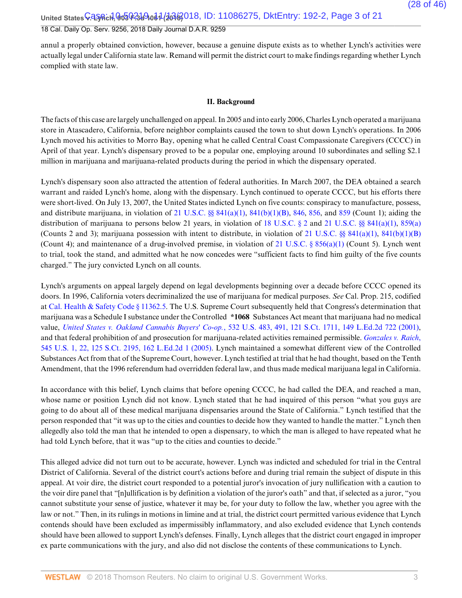United States **V. LyAch, ዓo5 0-31 9.041 (2018** 018, ID: 11086275, DktEntry: 192-2, Page 3 of 21 18 Cal. Daily Op. Serv. 9256, 2018 Daily Journal D.A.R. 9259

annul a properly obtained conviction, however, because a genuine dispute exists as to whether Lynch's activities were actually legal under California state law. Remand will permit the district court to make findings regarding whether Lynch complied with state law.

#### **II. Background**

The facts of this case are largely unchallenged on appeal. In 2005 and into early 2006, Charles Lynch operated a marijuana store in Atascadero, California, before neighbor complaints caused the town to shut down Lynch's operations. In 2006 Lynch moved his activities to Morro Bay, opening what he called Central Coast Compassionate Caregivers (CCCC) in April of that year. Lynch's dispensary proved to be a popular one, employing around 10 subordinates and selling \$2.1 million in marijuana and marijuana-related products during the period in which the dispensary operated.

Lynch's dispensary soon also attracted the attention of federal authorities. In March 2007, the DEA obtained a search warrant and raided Lynch's home, along with the dispensary. Lynch continued to operate CCCC, but his efforts there were short-lived. On July 13, 2007, the United States indicted Lynch on five counts: conspiracy to manufacture, possess, and distribute marijuana, in violation of 21 U.S.C.  $\frac{8}{5}$  841(a)(1), 841(b)(1)(B), 846, 856, and 859 (Count 1); aiding the distribution of marijuana to persons below 21 years, in violation of 18 U.S.C. § 2 and 21 U.S.C. §§ 841(a)(1), 859(a) (Counts 2 and 3); marijuana possession with intent to distribute, in violation of 21 U.S.C.  $\&$  841(a)(1), 841(b)(1)(B) (Count 4); and maintenance of a drug-involved premise, in violation of 21 U.S.C. § 856(a)(1) (Count 5). Lynch went to trial, took the stand, and admitted what he now concedes were "sufficient facts to find him guilty of the five counts charged." The jury convicted Lynch on all counts.

Lynch's arguments on appeal largely depend on legal developments beginning over a decade before CCCC opened its doors. In 1996, California voters decriminalized the use of marijuana for medical purposes. *See* Cal. Prop. 215, codified at Cal. Health & Safety Code § 11362.5. The U.S. Supreme Court subsequently held that Congress's determination that marijuana was a Schedule I substance under the Controlled **\*1068** Substances Act meant that marijuana had no medical value, *United States v. Oakland Cannabis Buyers' Co-op.*, 532 U.S. 483, 491, 121 S.Ct. 1711, 149 L.Ed.2d 722 (2001), and that federal prohibition of and prosecution for marijuana-related activities remained permissible. *Gonzales v. Raich*, 545 U.S. 1, 22, 125 S.Ct. 2195, 162 L.Ed.2d 1 (2005). Lynch maintained a somewhat different view of the Controlled Substances Act from that of the Supreme Court, however. Lynch testified at trial that he had thought, based on the Tenth Amendment, that the 1996 referendum had overridden federal law, and thus made medical marijuana legal in California.

In accordance with this belief, Lynch claims that before opening CCCC, he had called the DEA, and reached a man, whose name or position Lynch did not know. Lynch stated that he had inquired of this person "what you guys are going to do about all of these medical marijuana dispensaries around the State of California." Lynch testified that the person responded that "it was up to the cities and counties to decide how they wanted to handle the matter." Lynch then allegedly also told the man that he intended to open a dispensary, to which the man is alleged to have repeated what he had told Lynch before, that it was "up to the cities and counties to decide."

This alleged advice did not turn out to be accurate, however. Lynch was indicted and scheduled for trial in the Central District of California. Several of the district court's actions before and during trial remain the subject of dispute in this appeal. At voir dire, the district court responded to a potential juror's invocation of jury nullification with a caution to the voir dire panel that "[n]ullification is by definition a violation of the juror's oath" and that, if selected as a juror, "you cannot substitute your sense of justice, whatever it may be, for your duty to follow the law, whether you agree with the law or not." Then, in its rulings in motions in limine and at trial, the district court permitted various evidence that Lynch contends should have been excluded as impermissibly inflammatory, and also excluded evidence that Lynch contends should have been allowed to support Lynch's defenses. Finally, Lynch alleges that the district court engaged in improper ex parte communications with the jury, and also did not disclose the contents of these communications to Lynch.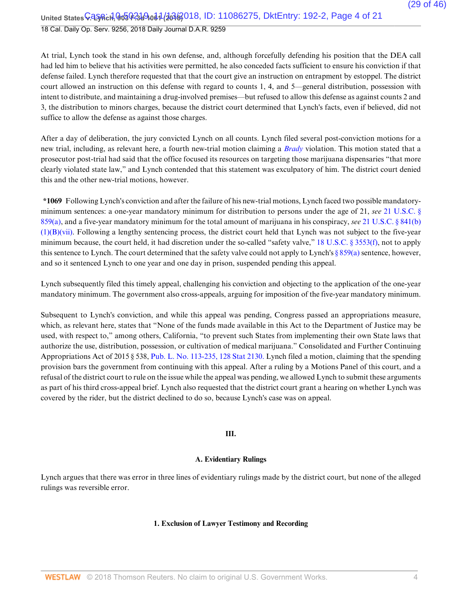18 Cal. Daily Op. Serv. 9256, 2018 Daily Journal D.A.R. 9259

At trial, Lynch took the stand in his own defense, and, although forcefully defending his position that the DEA call had led him to believe that his activities were permitted, he also conceded facts sufficient to ensure his conviction if that defense failed. Lynch therefore requested that that the court give an instruction on entrapment by estoppel. The district court allowed an instruction on this defense with regard to counts 1, 4, and 5—general distribution, possession with intent to distribute, and maintaining a drug-involved premises—but refused to allow this defense as against counts 2 and 3, the distribution to minors charges, because the district court determined that Lynch's facts, even if believed, did not suffice to allow the defense as against those charges.

After a day of deliberation, the jury convicted Lynch on all counts. Lynch filed several post-conviction motions for a new trial, including, as relevant here, a fourth new-trial motion claiming a *Brady* violation. This motion stated that a prosecutor post-trial had said that the office focused its resources on targeting those marijuana dispensaries "that more clearly violated state law," and Lynch contended that this statement was exculpatory of him. The district court denied this and the other new-trial motions, however.

**\*1069** Following Lynch's conviction and after the failure of his new-trial motions, Lynch faced two possible mandatoryminimum sentences: a one-year mandatory minimum for distribution to persons under the age of 21, *see* 21 U.S.C. § 859(a), and a five-year mandatory minimum for the total amount of marijuana in his conspiracy, *see* 21 U.S.C. § 841(b)  $(1)(B)(vii)$ . Following a lengthy sentencing process, the district court held that Lynch was not subject to the five-year minimum because, the court held, it had discretion under the so-called "safety valve," 18 U.S.C. § 3553(f), not to apply this sentence to Lynch. The court determined that the safety valve could not apply to Lynch's  $\S 859(a)$  sentence, however, and so it sentenced Lynch to one year and one day in prison, suspended pending this appeal.

Lynch subsequently filed this timely appeal, challenging his conviction and objecting to the application of the one-year mandatory minimum. The government also cross-appeals, arguing for imposition of the five-year mandatory minimum.

Subsequent to Lynch's conviction, and while this appeal was pending, Congress passed an appropriations measure, which, as relevant here, states that "None of the funds made available in this Act to the Department of Justice may be used, with respect to," among others, California, "to prevent such States from implementing their own State laws that authorize the use, distribution, possession, or cultivation of medical marijuana." Consolidated and Further Continuing Appropriations Act of 2015 § 538, Pub. L. No. 113-235, 128 Stat 2130. Lynch filed a motion, claiming that the spending provision bars the government from continuing with this appeal. After a ruling by a Motions Panel of this court, and a refusal of the district court to rule on the issue while the appeal was pending, we allowed Lynch to submit these arguments as part of his third cross-appeal brief. Lynch also requested that the district court grant a hearing on whether Lynch was covered by the rider, but the district declined to do so, because Lynch's case was on appeal.

#### **III.**

#### **A. Evidentiary Rulings**

Lynch argues that there was error in three lines of evidentiary rulings made by the district court, but none of the alleged rulings was reversible error.

#### **1. Exclusion of Lawyer Testimony and Recording**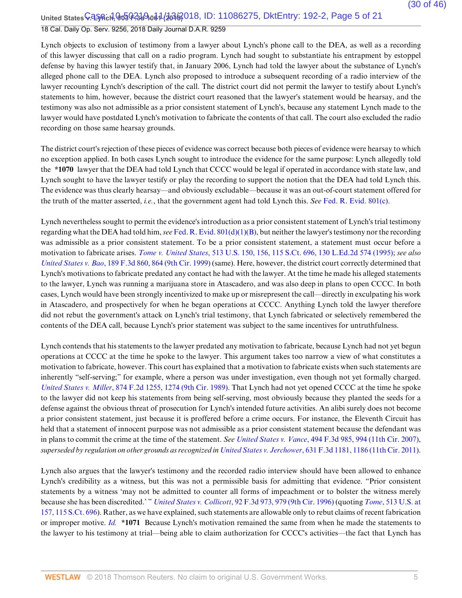United States **V. LyAch, 903 የ-319 061 (2018** 018, ID: 11086275, DktEntry: 192-2, Page 5 of 21 18 Cal. Daily Op. Serv. 9256, 2018 Daily Journal D.A.R. 9259

Lynch objects to exclusion of testimony from a lawyer about Lynch's phone call to the DEA, as well as a recording of this lawyer discussing that call on a radio program. Lynch had sought to substantiate his entrapment by estoppel defense by having this lawyer testify that, in January 2006, Lynch had told the lawyer about the substance of Lynch's alleged phone call to the DEA. Lynch also proposed to introduce a subsequent recording of a radio interview of the lawyer recounting Lynch's description of the call. The district court did not permit the lawyer to testify about Lynch's statements to him, however, because the district court reasoned that the lawyer's statement would be hearsay, and the testimony was also not admissible as a prior consistent statement of Lynch's, because any statement Lynch made to the lawyer would have postdated Lynch's motivation to fabricate the contents of that call. The court also excluded the radio recording on those same hearsay grounds.

The district court's rejection of these pieces of evidence was correct because both pieces of evidence were hearsay to which no exception applied. In both cases Lynch sought to introduce the evidence for the same purpose: Lynch allegedly told the **\*1070** lawyer that the DEA had told Lynch that CCCC would be legal if operated in accordance with state law, and Lynch sought to have the lawyer testify or play the recording to support the notion that the DEA had told Lynch this. The evidence was thus clearly hearsay—and obviously excludable—because it was an out-of-court statement offered for the truth of the matter asserted, *i.e.*, that the government agent had told Lynch this. *See* Fed. R. Evid. 801(c).

Lynch nevertheless sought to permit the evidence's introduction as a prior consistent statement of Lynch's trial testimony regarding what the DEA had told him, *see* Fed. R. Evid. 801(d)(1)(B), but neither the lawyer's testimony nor the recording was admissible as a prior consistent statement. To be a prior consistent statement, a statement must occur before a motivation to fabricate arises. *Tome v. United States*, 513 U.S. 150, 156, 115 S.Ct. 696, 130 L.Ed.2d 574 (1995); *see also United States v. Bao*, 189 F.3d 860, 864 (9th Cir. 1999) (same). Here, however, the district court correctly determined that Lynch's motivations to fabricate predated any contact he had with the lawyer. At the time he made his alleged statements to the lawyer, Lynch was running a marijuana store in Atascadero, and was also deep in plans to open CCCC. In both cases, Lynch would have been strongly incentivized to make up or misrepresent the call—directly in exculpating his work in Atascadero, and prospectively for when he began operations at CCCC. Anything Lynch told the lawyer therefore did not rebut the government's attack on Lynch's trial testimony, that Lynch fabricated or selectively remembered the contents of the DEA call, because Lynch's prior statement was subject to the same incentives for untruthfulness.

Lynch contends that his statements to the lawyer predated any motivation to fabricate, because Lynch had not yet begun operations at CCCC at the time he spoke to the lawyer. This argument takes too narrow a view of what constitutes a motivation to fabricate, however. This court has explained that a motivation to fabricate exists when such statements are inherently "self-serving;" for example, where a person was under investigation, even though not yet formally charged. *United States v. Miller*, 874 F.2d 1255, 1274 (9th Cir. 1989). That Lynch had not yet opened CCCC at the time he spoke to the lawyer did not keep his statements from being self-serving, most obviously because they planted the seeds for a defense against the obvious threat of prosecution for Lynch's intended future activities. An alibi surely does not become a prior consistent statement, just because it is proffered before a crime occurs. For instance, the Eleventh Circuit has held that a statement of innocent purpose was not admissible as a prior consistent statement because the defendant was in plans to commit the crime at the time of the statement. *See United States v. Vance*, 494 F.3d 985, 994 (11th Cir. 2007), *superseded by regulation on other grounds as recognized in United States v. Jerchower*, 631 F.3d 1181, 1186 (11th Cir. 2011).

Lynch also argues that the lawyer's testimony and the recorded radio interview should have been allowed to enhance Lynch's credibility as a witness, but this was not a permissible basis for admitting that evidence. "Prior consistent statements by a witness 'may not be admitted to counter all forms of impeachment or to bolster the witness merely because she has been discredited.' " *United States v. Collicott*, 92 F.3d 973, 979 (9th Cir. 1996) (quoting *Tome*, 513 U.S. at 157, 115 S.Ct. 696). Rather, as we have explained, such statements are allowable only to rebut claims of recent fabrication or improper motive. *Id.* **\*1071** Because Lynch's motivation remained the same from when he made the statements to the lawyer to his testimony at trial—being able to claim authorization for CCCC's activities—the fact that Lynch has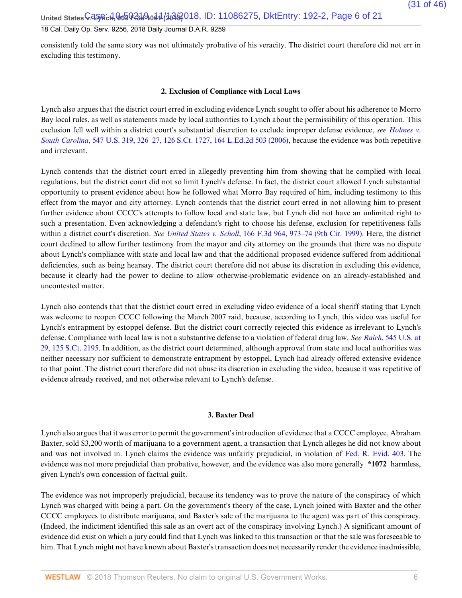United States **V. LyAch, 903 ቀ.3d 9.0d 1 (2016)** O18, ID: 11086275, DktEntry: 192-2, Page 6 of 21

### 18 Cal. Daily Op. Serv. 9256, 2018 Daily Journal D.A.R. 9259

consistently told the same story was not ultimately probative of his veracity. The district court therefore did not err in excluding this testimony.

#### **2. Exclusion of Compliance with Local Laws**

Lynch also argues that the district court erred in excluding evidence Lynch sought to offer about his adherence to Morro Bay local rules, as well as statements made by local authorities to Lynch about the permissibility of this operation. This exclusion fell well within a district court's substantial discretion to exclude improper defense evidence, *see Holmes v. South Carolina*, 547 U.S. 319, 326–27, 126 S.Ct. 1727, 164 L.Ed.2d 503 (2006), because the evidence was both repetitive and irrelevant.

Lynch contends that the district court erred in allegedly preventing him from showing that he complied with local regulations, but the district court did not so limit Lynch's defense. In fact, the district court allowed Lynch substantial opportunity to present evidence about how he followed what Morro Bay required of him, including testimony to this effect from the mayor and city attorney. Lynch contends that the district court erred in not allowing him to present further evidence about CCCC's attempts to follow local and state law, but Lynch did not have an unlimited right to such a presentation. Even acknowledging a defendant's right to choose his defense, exclusion for repetitiveness falls within a district court's discretion. *See United States v. Scholl*, 166 F.3d 964, 973–74 (9th Cir. 1999). Here, the district court declined to allow further testimony from the mayor and city attorney on the grounds that there was no dispute about Lynch's compliance with state and local law and that the additional proposed evidence suffered from additional deficiencies, such as being hearsay. The district court therefore did not abuse its discretion in excluding this evidence, because it clearly had the power to decline to allow otherwise-problematic evidence on an already-established and uncontested matter.

Lynch also contends that that the district court erred in excluding video evidence of a local sheriff stating that Lynch was welcome to reopen CCCC following the March 2007 raid, because, according to Lynch, this video was useful for Lynch's entrapment by estoppel defense. But the district court correctly rejected this evidence as irrelevant to Lynch's defense. Compliance with local law is not a substantive defense to a violation of federal drug law. *See Raich*, 545 U.S. at 29, 125 S.Ct. 2195. In addition, as the district court determined, although approval from state and local authorities was neither necessary nor sufficient to demonstrate entrapment by estoppel, Lynch had already offered extensive evidence to that point. The district court therefore did not abuse its discretion in excluding the video, because it was repetitive of evidence already received, and not otherwise relevant to Lynch's defense.

#### **3. Baxter Deal**

Lynch also argues that it was error to permit the government's introduction of evidence that a CCCC employee, Abraham Baxter, sold \$3,200 worth of marijuana to a government agent, a transaction that Lynch alleges he did not know about and was not involved in. Lynch claims the evidence was unfairly prejudicial, in violation of Fed. R. Evid. 403. The evidence was not more prejudicial than probative, however, and the evidence was also more generally **\*1072** harmless, given Lynch's own concession of factual guilt.

The evidence was not improperly prejudicial, because its tendency was to prove the nature of the conspiracy of which Lynch was charged with being a part. On the government's theory of the case, Lynch joined with Baxter and the other CCCC employees to distribute marijuana, and Baxter's sale of the marijuana to the agent was part of this conspiracy. (Indeed, the indictment identified this sale as an overt act of the conspiracy involving Lynch.) A significant amount of evidence did exist on which a jury could find that Lynch was linked to this transaction or that the sale was foreseeable to him. That Lynch might not have known about Baxter's transaction does not necessarily render the evidence inadmissible,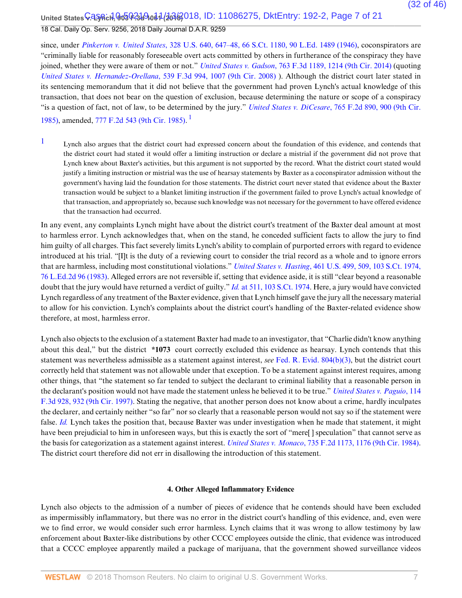United States **V. LyAch, ዓo5 0-31 9.041 (2018**, ID: 11086275, DktEntry: 192-2, Page 7 of 21 18 Cal. Daily Op. Serv. 9256, 2018 Daily Journal D.A.R. 9259

since, under *Pinkerton v. United States*, 328 U.S. 640, 647–48, 66 S.Ct. 1180, 90 L.Ed. 1489 (1946), coconspirators are "criminally liable for reasonably foreseeable overt acts committed by others in furtherance of the conspiracy they have joined, whether they were aware of them or not." *United States v. Gadson*, 763 F.3d 1189, 1214 (9th Cir. 2014) (quoting *United States v. Hernandez-Orellana*, 539 F.3d 994, 1007 (9th Cir. 2008) ). Although the district court later stated in its sentencing memorandum that it did not believe that the government had proven Lynch's actual knowledge of this transaction, that does not bear on the question of exclusion, because determining the nature or scope of a conspiracy "is a question of fact, not of law, to be determined by the jury." *United States v. DiCesare*, 765 F.2d 890, 900 (9th Cir. 1985), amended, 777 F.2d 543 (9th Cir. 1985). 1

<sup>1</sup> Lynch also argues that the district court had expressed concern about the foundation of this evidence, and contends that the district court had stated it would offer a limiting instruction or declare a mistrial if the government did not prove that Lynch knew about Baxter's activities, but this argument is not supported by the record. What the district court stated would justify a limiting instruction or mistrial was the use of hearsay statements by Baxter as a coconspirator admission without the government's having laid the foundation for those statements. The district court never stated that evidence about the Baxter transaction would be subject to a blanket limiting instruction if the government failed to prove Lynch's actual knowledge of that transaction, and appropriately so, because such knowledge was not necessary for the government to have offered evidence that the transaction had occurred.

In any event, any complaints Lynch might have about the district court's treatment of the Baxter deal amount at most to harmless error. Lynch acknowledges that, when on the stand, he conceded sufficient facts to allow the jury to find him guilty of all charges. This fact severely limits Lynch's ability to complain of purported errors with regard to evidence introduced at his trial. "[I]t is the duty of a reviewing court to consider the trial record as a whole and to ignore errors that are harmless, including most constitutional violations." *United States v. Hasting*, 461 U.S. 499, 509, 103 S.Ct. 1974, 76 L.Ed.2d 96 (1983). Alleged errors are not reversible if, setting that evidence aside, it is still "clear beyond a reasonable doubt that the jury would have returned a verdict of guilty." *Id.* at 511, 103 S.Ct. 1974. Here, a jury would have convicted Lynch regardless of any treatment of the Baxter evidence, given that Lynch himself gave the jury all the necessary material to allow for his conviction. Lynch's complaints about the district court's handling of the Baxter-related evidence show therefore, at most, harmless error.

Lynch also objects to the exclusion of a statement Baxter had made to an investigator, that "Charlie didn't know anything about this deal," but the district **\*1073** court correctly excluded this evidence as hearsay. Lynch contends that this statement was nevertheless admissible as a statement against interest, *see* Fed. R. Evid. 804(b)(3), but the district court correctly held that statement was not allowable under that exception. To be a statement against interest requires, among other things, that "the statement so far tended to subject the declarant to criminal liability that a reasonable person in the declarant's position would not have made the statement unless he believed it to be true." *United States v. Paguio*, 114 F.3d 928, 932 (9th Cir. 1997). Stating the negative, that another person does not know about a crime, hardly inculpates the declarer, and certainly neither "so far" nor so clearly that a reasonable person would not say so if the statement were false. *Id.* Lynch takes the position that, because Baxter was under investigation when he made that statement, it might have been prejudicial to him in unforeseen ways, but this is exactly the sort of "mere" speculation" that cannot serve as the basis for categorization as a statement against interest. *United States v. Monaco*, 735 F.2d 1173, 1176 (9th Cir. 1984). The district court therefore did not err in disallowing the introduction of this statement.

#### **4. Other Alleged Inflammatory Evidence**

Lynch also objects to the admission of a number of pieces of evidence that he contends should have been excluded as impermissibly inflammatory, but there was no error in the district court's handling of this evidence, and, even were we to find error, we would consider such error harmless. Lynch claims that it was wrong to allow testimony by law enforcement about Baxter-like distributions by other CCCC employees outside the clinic, that evidence was introduced that a CCCC employee apparently mailed a package of marijuana, that the government showed surveillance videos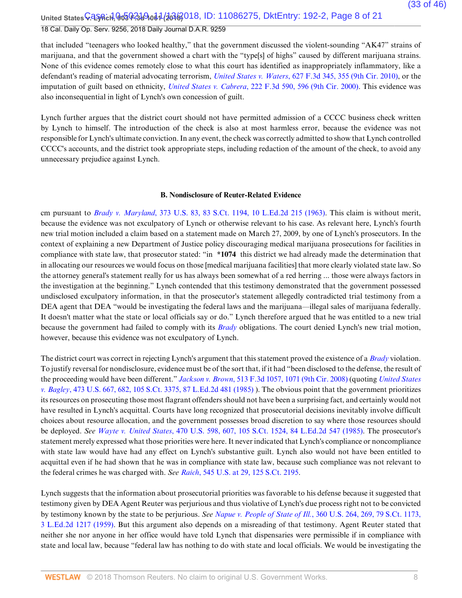United States **V. LyAch, 903 የ-319 061 (2018** 018, ID: 11086275, DktEntry: 192-2, Page 8 of 21 18 Cal. Daily Op. Serv. 9256, 2018 Daily Journal D.A.R. 9259

that included "teenagers who looked healthy," that the government discussed the violent-sounding "AK47" strains of marijuana, and that the government showed a chart with the "type[s] of highs" caused by different marijuana strains. None of this evidence comes remotely close to what this court has identified as inappropriately inflammatory, like a defendant's reading of material advocating terrorism, *United States v. Waters*, 627 F.3d 345, 355 (9th Cir. 2010), or the imputation of guilt based on ethnicity, *United States v. Cabrera*, 222 F.3d 590, 596 (9th Cir. 2000). This evidence was also inconsequential in light of Lynch's own concession of guilt.

Lynch further argues that the district court should not have permitted admission of a CCCC business check written by Lynch to himself. The introduction of the check is also at most harmless error, because the evidence was not responsible for Lynch's ultimate conviction. In any event, the check was correctly admitted to show that Lynch controlled CCCC's accounts, and the district took appropriate steps, including redaction of the amount of the check, to avoid any unnecessary prejudice against Lynch.

#### **B. Nondisclosure of Reuter-Related Evidence**

cm pursuant to *Brady v. Maryland*, 373 U.S. 83, 83 S.Ct. 1194, 10 L.Ed.2d 215 (1963). This claim is without merit, because the evidence was not exculpatory of Lynch or otherwise relevant to his case. As relevant here, Lynch's fourth new trial motion included a claim based on a statement made on March 27, 2009, by one of Lynch's prosecutors. In the context of explaining a new Department of Justice policy discouraging medical marijuana prosecutions for facilities in compliance with state law, that prosecutor stated: "in **\*1074** this district we had already made the determination that in allocating our resources we would focus on those [medical marijuana facilities] that more clearly violated state law. So the attorney general's statement really for us has always been somewhat of a red herring ... those were always factors in the investigation at the beginning." Lynch contended that this testimony demonstrated that the government possessed undisclosed exculpatory information, in that the prosecutor's statement allegedly contradicted trial testimony from a DEA agent that DEA "would be investigating the federal laws and the marijuana—illegal sales of marijuana federally. It doesn't matter what the state or local officials say or do." Lynch therefore argued that he was entitled to a new trial because the government had failed to comply with its *Brady* obligations. The court denied Lynch's new trial motion, however, because this evidence was not exculpatory of Lynch.

The district court was correct in rejecting Lynch's argument that this statement proved the existence of a *Brady* violation. To justify reversal for nondisclosure, evidence must be of the sort that, if it had "been disclosed to the defense, the result of the proceeding would have been different." *Jackson v. Brown*, 513 F.3d 1057, 1071 (9th Cir. 2008) (quoting *United States v. Bagley*, 473 U.S. 667, 682, 105 S.Ct. 3375, 87 L.Ed.2d 481 (1985) ). The obvious point that the government prioritizes its resources on prosecuting those most flagrant offenders should not have been a surprising fact, and certainly would not have resulted in Lynch's acquittal. Courts have long recognized that prosecutorial decisions inevitably involve difficult choices about resource allocation, and the government possesses broad discretion to say where those resources should be deployed. *See Wayte v. United States*, 470 U.S. 598, 607, 105 S.Ct. 1524, 84 L.Ed.2d 547 (1985). The prosecutor's statement merely expressed what those priorities were here. It never indicated that Lynch's compliance or noncompliance with state law would have had any effect on Lynch's substantive guilt. Lynch also would not have been entitled to acquittal even if he had shown that he was in compliance with state law, because such compliance was not relevant to the federal crimes he was charged with. *See Raich*, 545 U.S. at 29, 125 S.Ct. 2195.

Lynch suggests that the information about prosecutorial priorities was favorable to his defense because it suggested that testimony given by DEA Agent Reuter was perjurious and thus violative of Lynch's due process right not to be convicted by testimony known by the state to be perjurious. *See Napue v. People of State of Ill.*, 360 U.S. 264, 269, 79 S.Ct. 1173, 3 L.Ed.2d 1217 (1959). But this argument also depends on a misreading of that testimony. Agent Reuter stated that neither she nor anyone in her office would have told Lynch that dispensaries were permissible if in compliance with state and local law, because "federal law has nothing to do with state and local officials. We would be investigating the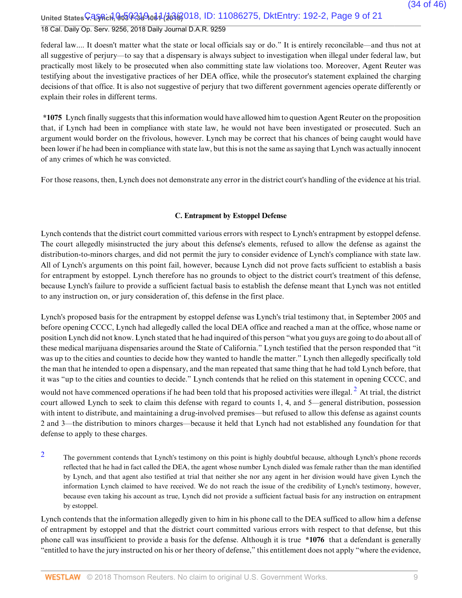United States **V. LyAch, ዓo5 0-31 9.061 (2018**, ID: 11086275, DktEntry: 192-2, Page 9 of 21 18 Cal. Daily Op. Serv. 9256, 2018 Daily Journal D.A.R. 9259

federal law.... It doesn't matter what the state or local officials say or do." It is entirely reconcilable—and thus not at all suggestive of perjury—to say that a dispensary is always subject to investigation when illegal under federal law, but practically most likely to be prosecuted when also committing state law violations too. Moreover, Agent Reuter was testifying about the investigative practices of her DEA office, while the prosecutor's statement explained the charging decisions of that office. It is also not suggestive of perjury that two different government agencies operate differently or explain their roles in different terms.

**\*1075** Lynch finally suggests that this information would have allowed him to question Agent Reuter on the proposition that, if Lynch had been in compliance with state law, he would not have been investigated or prosecuted. Such an argument would border on the frivolous, however. Lynch may be correct that his chances of being caught would have been lower if he had been in compliance with state law, but this is not the same as saying that Lynch was actually innocent of any crimes of which he was convicted.

For those reasons, then, Lynch does not demonstrate any error in the district court's handling of the evidence at his trial.

### **C. Entrapment by Estoppel Defense**

Lynch contends that the district court committed various errors with respect to Lynch's entrapment by estoppel defense. The court allegedly misinstructed the jury about this defense's elements, refused to allow the defense as against the distribution-to-minors charges, and did not permit the jury to consider evidence of Lynch's compliance with state law. All of Lynch's arguments on this point fail, however, because Lynch did not prove facts sufficient to establish a basis for entrapment by estoppel. Lynch therefore has no grounds to object to the district court's treatment of this defense, because Lynch's failure to provide a sufficient factual basis to establish the defense meant that Lynch was not entitled to any instruction on, or jury consideration of, this defense in the first place.

Lynch's proposed basis for the entrapment by estoppel defense was Lynch's trial testimony that, in September 2005 and before opening CCCC, Lynch had allegedly called the local DEA office and reached a man at the office, whose name or position Lynch did not know. Lynch stated that he had inquired of this person "what you guys are going to do about all of these medical marijuana dispensaries around the State of California." Lynch testified that the person responded that "it was up to the cities and counties to decide how they wanted to handle the matter." Lynch then allegedly specifically told the man that he intended to open a dispensary, and the man repeated that same thing that he had told Lynch before, that it was "up to the cities and counties to decide." Lynch contends that he relied on this statement in opening CCCC, and would not have commenced operations if he had been told that his proposed activities were illegal.  $^2$  At trial, the district court allowed Lynch to seek to claim this defense with regard to counts 1, 4, and 5—general distribution, possession with intent to distribute, and maintaining a drug-involved premises—but refused to allow this defense as against counts 2 and 3—the distribution to minors charges—because it held that Lynch had not established any foundation for that defense to apply to these charges.

<sup>2</sup> The government contends that Lynch's testimony on this point is highly doubtful because, although Lynch's phone records reflected that he had in fact called the DEA, the agent whose number Lynch dialed was female rather than the man identified by Lynch, and that agent also testified at trial that neither she nor any agent in her division would have given Lynch the information Lynch claimed to have received. We do not reach the issue of the credibility of Lynch's testimony, however, because even taking his account as true, Lynch did not provide a sufficient factual basis for any instruction on entrapment by estoppel.

Lynch contends that the information allegedly given to him in his phone call to the DEA sufficed to allow him a defense of entrapment by estoppel and that the district court committed various errors with respect to that defense, but this phone call was insufficient to provide a basis for the defense. Although it is true **\*1076** that a defendant is generally "entitled to have the jury instructed on his or her theory of defense," this entitlement does not apply "where the evidence,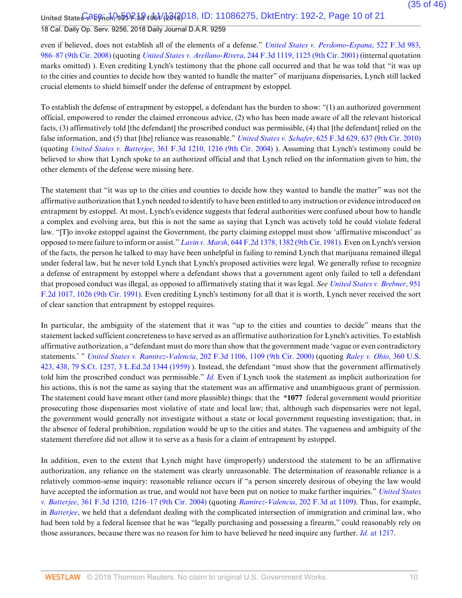United State<del>s CREGrich, 959R.30</del>1061/b618018, ID: 11086275, DktEntry: 192-2, Page 10 of 21

### 18 Cal. Daily Op. Serv. 9256, 2018 Daily Journal D.A.R. 9259

even if believed, does not establish all of the elements of a defense." *United States v. Perdomo-Espana*, 522 F.3d 983, 986–87 (9th Cir. 2008) (quoting *United States v. Arellano-Rivera*, 244 F.3d 1119, 1125 (9th Cir. 2001) (internal quotation marks omitted) ). Even crediting Lynch's testimony that the phone call occurred and that he was told that "it was up to the cities and counties to decide how they wanted to handle the matter" of marijuana dispensaries, Lynch still lacked crucial elements to shield himself under the defense of entrapment by estoppel.

To establish the defense of entrapment by estoppel, a defendant has the burden to show: "(1) an authorized government official, empowered to render the claimed erroneous advice, (2) who has been made aware of all the relevant historical facts, (3) affirmatively told [the defendant] the proscribed conduct was permissible, (4) that [the defendant] relied on the false information, and (5) that [the] reliance was reasonable." *United States v. Schafer*, 625 F.3d 629, 637 (9th Cir. 2010) (quoting *United States v. Batterjee*, 361 F.3d 1210, 1216 (9th Cir. 2004) ). Assuming that Lynch's testimony could be believed to show that Lynch spoke to an authorized official and that Lynch relied on the information given to him, the other elements of the defense were missing here.

The statement that "it was up to the cities and counties to decide how they wanted to handle the matter" was not the affirmative authorization that Lynch needed to identify to have been entitled to any instruction or evidence introduced on entrapment by estoppel. At most, Lynch's evidence suggests that federal authorities were confused about how to handle a complex and evolving area, but this is not the same as saying that Lynch was actively told he could violate federal law. "[T]o invoke estoppel against the Government, the party claiming estoppel must show 'affirmative misconduct' as opposed to mere failure to inform or assist." *Lavin v. Marsh*, 644 F.2d 1378, 1382 (9th Cir. 1981). Even on Lynch's version of the facts, the person he talked to may have been unhelpful in failing to remind Lynch that marijuana remained illegal under federal law, but he never told Lynch that Lynch's proposed activities were legal. We generally refuse to recognize a defense of entrapment by estoppel where a defendant shows that a government agent only failed to tell a defendant that proposed conduct was illegal, as opposed to affirmatively stating that it was legal. *See United States v. Brebner*, 951 F.2d 1017, 1026 (9th Cir. 1991). Even crediting Lynch's testimony for all that it is worth, Lynch never received the sort of clear sanction that entrapment by estoppel requires.

In particular, the ambiguity of the statement that it was "up to the cities and counties to decide" means that the statement lacked sufficient concreteness to have served as an affirmative authorization for Lynch's activities. To establish affirmative authorization, a "defendant must do more than show that the government made 'vague or even contradictory statements.' " *United States v. Ramirez-Valencia*, 202 F.3d 1106, 1109 (9th Cir. 2000) (quoting *Raley v. Ohio*, 360 U.S. 423, 438, 79 S.Ct. 1257, 3 L.Ed.2d 1344 (1959) ). Instead, the defendant "must show that the government affirmatively told him the proscribed conduct was permissible." *Id.* Even if Lynch took the statement as implicit authorization for his actions, this is not the same as saying that the statement was an affirmative and unambiguous grant of permission. The statement could have meant other (and more plausible) things: that the **\*1077** federal government would prioritize prosecuting those dispensaries most violative of state and local law; that, although such dispensaries were not legal, the government would generally not investigate without a state or local government requesting investigation; that, in the absence of federal prohibition, regulation would be up to the cities and states. The vagueness and ambiguity of the statement therefore did not allow it to serve as a basis for a claim of entrapment by estoppel.

In addition, even to the extent that Lynch might have (improperly) understood the statement to be an affirmative authorization, any reliance on the statement was clearly unreasonable. The determination of reasonable reliance is a relatively common-sense inquiry: reasonable reliance occurs if "a person sincerely desirous of obeying the law would have accepted the information as true, and would not have been put on notice to make further inquiries." *United States v. Batterjee*, 361 F.3d 1210, 1216–17 (9th Cir. 2004) (quoting *Ramirez-Valencia*, 202 F.3d at 1109). Thus, for example, in *Batterjee*, we held that a defendant dealing with the complicated intersection of immigration and criminal law, who had been told by a federal licensee that he was "legally purchasing and possessing a firearm," could reasonably rely on those assurances, because there was no reason for him to have believed he need inquire any further. *Id.* at 1217.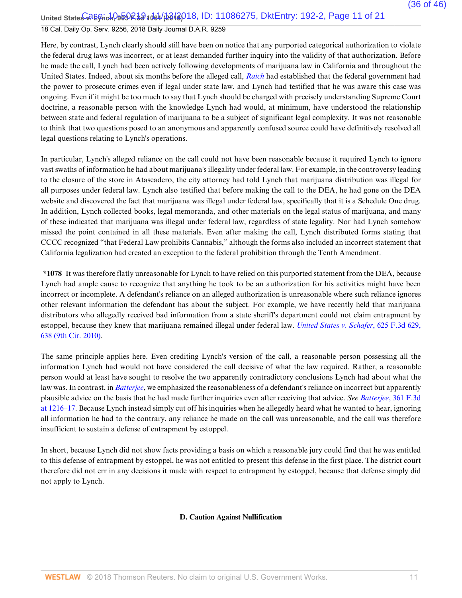United State<del>s 0.2 Egrich, 959 R.3d 1061 (23 13 0</del> 10: 11086275, DktEntry: 192-2, Page 11 of 21

## 18 Cal. Daily Op. Serv. 9256, 2018 Daily Journal D.A.R. 9259

Here, by contrast, Lynch clearly should still have been on notice that any purported categorical authorization to violate the federal drug laws was incorrect, or at least demanded further inquiry into the validity of that authorization. Before he made the call, Lynch had been actively following developments of marijuana law in California and throughout the United States. Indeed, about six months before the alleged call, *Raich* had established that the federal government had the power to prosecute crimes even if legal under state law, and Lynch had testified that he was aware this case was ongoing. Even if it might be too much to say that Lynch should be charged with precisely understanding Supreme Court doctrine, a reasonable person with the knowledge Lynch had would, at minimum, have understood the relationship between state and federal regulation of marijuana to be a subject of significant legal complexity. It was not reasonable to think that two questions posed to an anonymous and apparently confused source could have definitively resolved all legal questions relating to Lynch's operations.

In particular, Lynch's alleged reliance on the call could not have been reasonable because it required Lynch to ignore vast swaths of information he had about marijuana's illegality under federal law. For example, in the controversy leading to the closure of the store in Atascadero, the city attorney had told Lynch that marijuana distribution was illegal for all purposes under federal law. Lynch also testified that before making the call to the DEA, he had gone on the DEA website and discovered the fact that marijuana was illegal under federal law, specifically that it is a Schedule One drug. In addition, Lynch collected books, legal memoranda, and other materials on the legal status of marijuana, and many of these indicated that marijuana was illegal under federal law, regardless of state legality. Nor had Lynch somehow missed the point contained in all these materials. Even after making the call, Lynch distributed forms stating that CCCC recognized "that Federal Law prohibits Cannabis," although the forms also included an incorrect statement that California legalization had created an exception to the federal prohibition through the Tenth Amendment.

**\*1078** It was therefore flatly unreasonable for Lynch to have relied on this purported statement from the DEA, because Lynch had ample cause to recognize that anything he took to be an authorization for his activities might have been incorrect or incomplete. A defendant's reliance on an alleged authorization is unreasonable where such reliance ignores other relevant information the defendant has about the subject. For example, we have recently held that marijuana distributors who allegedly received bad information from a state sheriff's department could not claim entrapment by estoppel, because they knew that marijuana remained illegal under federal law. *United States v. Schafer*, 625 F.3d 629, 638 (9th Cir. 2010).

The same principle applies here. Even crediting Lynch's version of the call, a reasonable person possessing all the information Lynch had would not have considered the call decisive of what the law required. Rather, a reasonable person would at least have sought to resolve the two apparently contradictory conclusions Lynch had about what the law was. In contrast, in *Batterjee*, we emphasized the reasonableness of a defendant's reliance on incorrect but apparently plausible advice on the basis that he had made further inquiries even after receiving that advice. *See Batterjee*, 361 F.3d at 1216–17. Because Lynch instead simply cut off his inquiries when he allegedly heard what he wanted to hear, ignoring all information he had to the contrary, any reliance he made on the call was unreasonable, and the call was therefore insufficient to sustain a defense of entrapment by estoppel.

In short, because Lynch did not show facts providing a basis on which a reasonable jury could find that he was entitled to this defense of entrapment by estoppel, he was not entitled to present this defense in the first place. The district court therefore did not err in any decisions it made with respect to entrapment by estoppel, because that defense simply did not apply to Lynch.

### **D. Caution Against Nullification**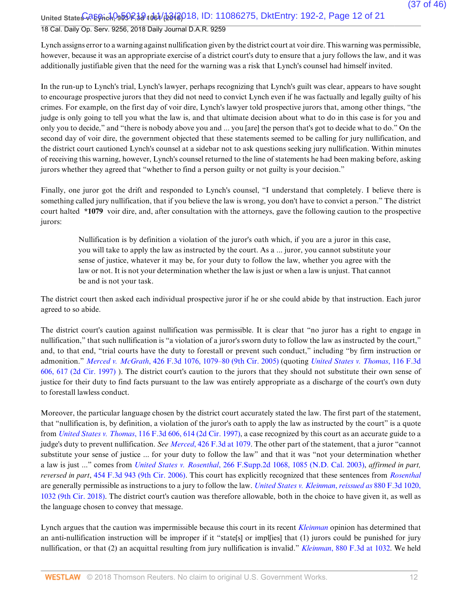United State<del>s 0.2 Egrich, 959 R.3d 1061 (23 13 0</del> 10: 11086275, DktEntry: 192-2, Page 12 of 21

### 18 Cal. Daily Op. Serv. 9256, 2018 Daily Journal D.A.R. 9259

Lynch assigns error to a warning against nullification given by the district court at voir dire. This warning was permissible, however, because it was an appropriate exercise of a district court's duty to ensure that a jury follows the law, and it was additionally justifiable given that the need for the warning was a risk that Lynch's counsel had himself invited.

In the run-up to Lynch's trial, Lynch's lawyer, perhaps recognizing that Lynch's guilt was clear, appears to have sought to encourage prospective jurors that they did not need to convict Lynch even if he was factually and legally guilty of his crimes. For example, on the first day of voir dire, Lynch's lawyer told prospective jurors that, among other things, "the judge is only going to tell you what the law is, and that ultimate decision about what to do in this case is for you and only you to decide," and "there is nobody above you and ... you [are] the person that's got to decide what to do." On the second day of voir dire, the government objected that these statements seemed to be calling for jury nullification, and the district court cautioned Lynch's counsel at a sidebar not to ask questions seeking jury nullification. Within minutes of receiving this warning, however, Lynch's counsel returned to the line of statements he had been making before, asking jurors whether they agreed that "whether to find a person guilty or not guilty is your decision."

Finally, one juror got the drift and responded to Lynch's counsel, "I understand that completely. I believe there is something called jury nullification, that if you believe the law is wrong, you don't have to convict a person." The district court halted **\*1079** voir dire, and, after consultation with the attorneys, gave the following caution to the prospective jurors:

Nullification is by definition a violation of the juror's oath which, if you are a juror in this case, you will take to apply the law as instructed by the court. As a ... juror, you cannot substitute your sense of justice, whatever it may be, for your duty to follow the law, whether you agree with the law or not. It is not your determination whether the law is just or when a law is unjust. That cannot be and is not your task.

The district court then asked each individual prospective juror if he or she could abide by that instruction. Each juror agreed to so abide.

The district court's caution against nullification was permissible. It is clear that "no juror has a right to engage in nullification," that such nullification is "a violation of a juror's sworn duty to follow the law as instructed by the court," and, to that end, "trial courts have the duty to forestall or prevent such conduct," including "by firm instruction or admonition." *Merced v. McGrath*, 426 F.3d 1076, 1079–80 (9th Cir. 2005) (quoting *United States v. Thomas*, 116 F.3d 606, 617 (2d Cir. 1997) ). The district court's caution to the jurors that they should not substitute their own sense of justice for their duty to find facts pursuant to the law was entirely appropriate as a discharge of the court's own duty to forestall lawless conduct.

Moreover, the particular language chosen by the district court accurately stated the law. The first part of the statement, that "nullification is, by definition, a violation of the juror's oath to apply the law as instructed by the court" is a quote from *United States v. Thomas*, 116 F.3d 606, 614 (2d Cir. 1997), a case recognized by this court as an accurate guide to a judge's duty to prevent nullification. *See Merced*, 426 F.3d at 1079. The other part of the statement, that a juror "cannot substitute your sense of justice ... for your duty to follow the law" and that it was "not your determination whether a law is just ..." comes from *United States v. Rosenthal*, 266 F.Supp.2d 1068, 1085 (N.D. Cal. 2003), *affirmed in part, reversed in part*, 454 F.3d 943 (9th Cir. 2006). This court has explicitly recognized that these sentences from *Rosenthal* are generally permissible as instructions to a jury to follow the law. *United States v. Kleinman*, *reissued as* 880 F.3d 1020, 1032 (9th Cir. 2018). The district court's caution was therefore allowable, both in the choice to have given it, as well as the language chosen to convey that message.

Lynch argues that the caution was impermissible because this court in its recent *Kleinman* opinion has determined that an anti-nullification instruction will be improper if it "state[s] or impl[ies] that (1) jurors could be punished for jury nullification, or that (2) an acquittal resulting from jury nullification is invalid." *Kleinman*, 880 F.3d at 1032. We held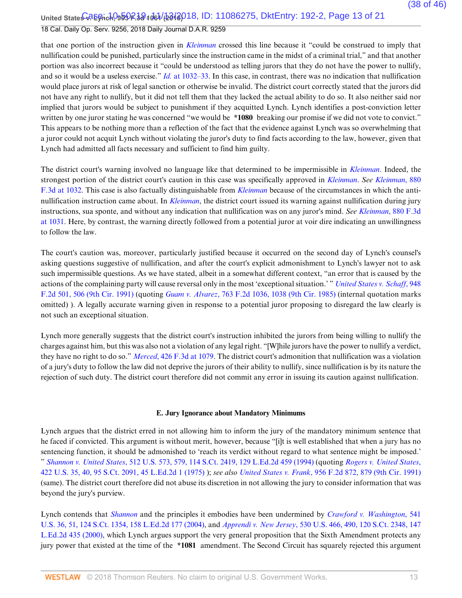United State<del>s CREGrich, 959R.30</del>1061/b618018, ID: 11086275, DktEntry: 192-2, Page 13 of 21 18 Cal. Daily Op. Serv. 9256, 2018 Daily Journal D.A.R. 9259

that one portion of the instruction given in *Kleinman* crossed this line because it "could be construed to imply that nullification could be punished, particularly since the instruction came in the midst of a criminal trial," and that another portion was also incorrect because it "could be understood as telling jurors that they do not have the power to nullify, and so it would be a useless exercise." *Id.* at 1032–33. In this case, in contrast, there was no indication that nullification would place jurors at risk of legal sanction or otherwise be invalid. The district court correctly stated that the jurors did not have any right to nullify, but it did not tell them that they lacked the actual ability to do so. It also neither said nor implied that jurors would be subject to punishment if they acquitted Lynch. Lynch identifies a post-conviction letter written by one juror stating he was concerned "we would be **\*1080** breaking our promise if we did not vote to convict." This appears to be nothing more than a reflection of the fact that the evidence against Lynch was so overwhelming that a juror could not acquit Lynch without violating the juror's duty to find facts according to the law, however, given that Lynch had admitted all facts necessary and sufficient to find him guilty.

The district court's warning involved no language like that determined to be impermissible in *Kleinman*. Indeed, the strongest portion of the district court's caution in this case was specifically approved in *Kleinman*. *See Kleinman*, 880 F.3d at 1032. This case is also factually distinguishable from *Kleinman* because of the circumstances in which the antinullification instruction came about. In *Kleinman*, the district court issued its warning against nullification during jury instructions, sua sponte, and without any indication that nullification was on any juror's mind. *See Kleinman*, 880 F.3d at 1031. Here, by contrast, the warning directly followed from a potential juror at voir dire indicating an unwillingness to follow the law.

The court's caution was, moreover, particularly justified because it occurred on the second day of Lynch's counsel's asking questions suggestive of nullification, and after the court's explicit admonishment to Lynch's lawyer not to ask such impermissible questions. As we have stated, albeit in a somewhat different context, "an error that is caused by the actions of the complaining party will cause reversal only in the most 'exceptional situation.' " *United States v. Schaff*, 948 F.2d 501, 506 (9th Cir. 1991) (quoting *Guam v. Alvarez*, 763 F.2d 1036, 1038 (9th Cir. 1985) (internal quotation marks omitted) ). A legally accurate warning given in response to a potential juror proposing to disregard the law clearly is not such an exceptional situation.

Lynch more generally suggests that the district court's instruction inhibited the jurors from being willing to nullify the charges against him, but this was also not a violation of any legal right. "[W]hile jurors have the power to nullify a verdict, they have no right to do so." *Merced*, 426 F.3d at 1079. The district court's admonition that nullification was a violation of a jury's duty to follow the law did not deprive the jurors of their ability to nullify, since nullification is by its nature the rejection of such duty. The district court therefore did not commit any error in issuing its caution against nullification.

#### **E. Jury Ignorance about Mandatory Minimums**

Lynch argues that the district erred in not allowing him to inform the jury of the mandatory minimum sentence that he faced if convicted. This argument is without merit, however, because "[i]t is well established that when a jury has no sentencing function, it should be admonished to 'reach its verdict without regard to what sentence might be imposed.' " *Shannon v. United States*, 512 U.S. 573, 579, 114 S.Ct. 2419, 129 L.Ed.2d 459 (1994) (quoting *Rogers v. United States*, 422 U.S. 35, 40, 95 S.Ct. 2091, 45 L.Ed.2d 1 (1975) ); *see also United States v. Frank*, 956 F.2d 872, 879 (9th Cir. 1991) (same). The district court therefore did not abuse its discretion in not allowing the jury to consider information that was beyond the jury's purview.

Lynch contends that *Shannon* and the principles it embodies have been undermined by *Crawford v. Washington*, 541 U.S. 36, 51, 124 S.Ct. 1354, 158 L.Ed.2d 177 (2004), and *Apprendi v. New Jersey*, 530 U.S. 466, 490, 120 S.Ct. 2348, 147 L.Ed.2d 435 (2000), which Lynch argues support the very general proposition that the Sixth Amendment protects any jury power that existed at the time of the **\*1081** amendment. The Second Circuit has squarely rejected this argument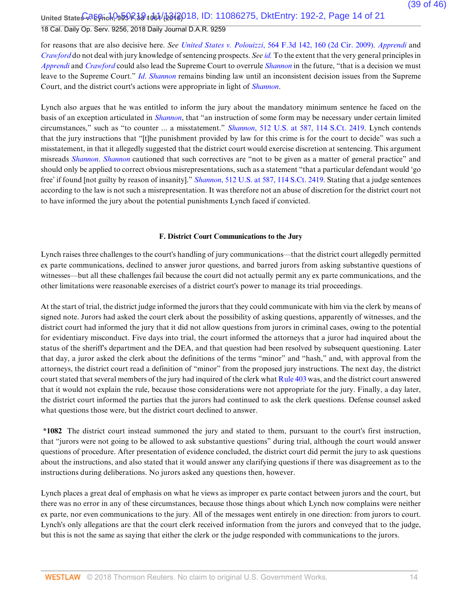United State<del>s CREGrich, 959R.30</del>1061/b618018, ID: 11086275, DktEntry: 192-2, Page 14 of 21

## 18 Cal. Daily Op. Serv. 9256, 2018 Daily Journal D.A.R. 9259

for reasons that are also decisive here. *See United States v. Polouizzi*, 564 F.3d 142, 160 (2d Cir. 2009). *Apprendi* and *Crawford* do not deal with jury knowledge of sentencing prospects. *See id.* To the extent that the very general principles in *Apprendi* and *Crawford* could also lead the Supreme Court to overrule *Shannon* in the future, "that is a decision we must leave to the Supreme Court." *Id*. *Shannon* remains binding law until an inconsistent decision issues from the Supreme Court, and the district court's actions were appropriate in light of *Shannon*.

Lynch also argues that he was entitled to inform the jury about the mandatory minimum sentence he faced on the basis of an exception articulated in *Shannon*, that "an instruction of some form may be necessary under certain limited circumstances," such as "to counter ... a misstatement." *Shannon*, 512 U.S. at 587, 114 S.Ct. 2419. Lynch contends that the jury instructions that "[t]he punishment provided by law for this crime is for the court to decide" was such a misstatement, in that it allegedly suggested that the district court would exercise discretion at sentencing. This argument misreads *Shannon*. *Shannon* cautioned that such correctives are "not to be given as a matter of general practice" and should only be applied to correct obvious misrepresentations, such as a statement "that a particular defendant would 'go free' if found [not guilty by reason of insanity]." *Shannon*, 512 U.S. at 587, 114 S.Ct. 2419. Stating that a judge sentences according to the law is not such a misrepresentation. It was therefore not an abuse of discretion for the district court not to have informed the jury about the potential punishments Lynch faced if convicted.

#### **F. District Court Communications to the Jury**

Lynch raises three challenges to the court's handling of jury communications—that the district court allegedly permitted ex parte communications, declined to answer juror questions, and barred jurors from asking substantive questions of witnesses—but all these challenges fail because the court did not actually permit any ex parte communications, and the other limitations were reasonable exercises of a district court's power to manage its trial proceedings.

At the start of trial, the district judge informed the jurors that they could communicate with him via the clerk by means of signed note. Jurors had asked the court clerk about the possibility of asking questions, apparently of witnesses, and the district court had informed the jury that it did not allow questions from jurors in criminal cases, owing to the potential for evidentiary misconduct. Five days into trial, the court informed the attorneys that a juror had inquired about the status of the sheriff's department and the DEA, and that question had been resolved by subsequent questioning. Later that day, a juror asked the clerk about the definitions of the terms "minor" and "hash," and, with approval from the attorneys, the district court read a definition of "minor" from the proposed jury instructions. The next day, the district court stated that several members of the jury had inquired of the clerk what Rule 403 was, and the district court answered that it would not explain the rule, because those considerations were not appropriate for the jury. Finally, a day later, the district court informed the parties that the jurors had continued to ask the clerk questions. Defense counsel asked what questions those were, but the district court declined to answer.

**\*1082** The district court instead summoned the jury and stated to them, pursuant to the court's first instruction, that "jurors were not going to be allowed to ask substantive questions" during trial, although the court would answer questions of procedure. After presentation of evidence concluded, the district court did permit the jury to ask questions about the instructions, and also stated that it would answer any clarifying questions if there was disagreement as to the instructions during deliberations. No jurors asked any questions then, however.

Lynch places a great deal of emphasis on what he views as improper ex parte contact between jurors and the court, but there was no error in any of these circumstances, because those things about which Lynch now complains were neither ex parte, nor even communications to the jury. All of the messages went entirely in one direction: from jurors to court. Lynch's only allegations are that the court clerk received information from the jurors and conveyed that to the judge, but this is not the same as saying that either the clerk or the judge responded with communications to the jurors.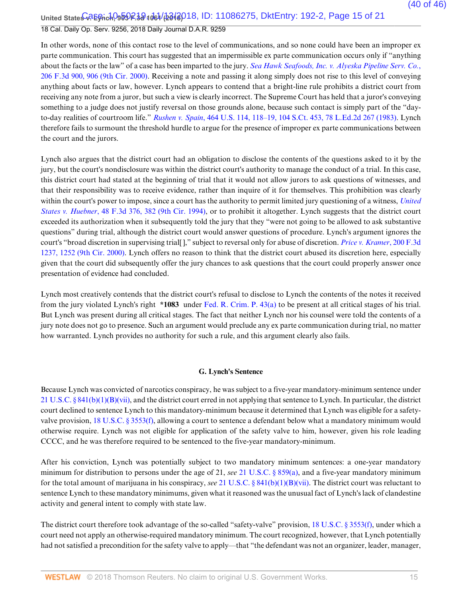United State<del>s CREGrich, 959R.30</del>1061/62018, ID: 11086275, DktEntry: 192-2, Page 15 of 21

## 18 Cal. Daily Op. Serv. 9256, 2018 Daily Journal D.A.R. 9259

In other words, none of this contact rose to the level of communications, and so none could have been an improper ex parte communication. This court has suggested that an impermissible ex parte communication occurs only if "anything about the facts or the law" of a case has been imparted to the jury. *Sea Hawk Seafoods, Inc. v. Alyeska Pipeline Serv. Co.*, 206 F.3d 900, 906 (9th Cir. 2000). Receiving a note and passing it along simply does not rise to this level of conveying anything about facts or law, however. Lynch appears to contend that a bright-line rule prohibits a district court from receiving any note from a juror, but such a view is clearly incorrect. The Supreme Court has held that a juror's conveying something to a judge does not justify reversal on those grounds alone, because such contact is simply part of the "dayto-day realities of courtroom life." *Rushen v. Spain*, 464 U.S. 114, 118–19, 104 S.Ct. 453, 78 L.Ed.2d 267 (1983). Lynch therefore fails to surmount the threshold hurdle to argue for the presence of improper ex parte communications between the court and the jurors.

Lynch also argues that the district court had an obligation to disclose the contents of the questions asked to it by the jury, but the court's nondisclosure was within the district court's authority to manage the conduct of a trial. In this case, this district court had stated at the beginning of trial that it would not allow jurors to ask questions of witnesses, and that their responsibility was to receive evidence, rather than inquire of it for themselves. This prohibition was clearly within the court's power to impose, since a court has the authority to permit limited jury questioning of a witness, *United States v. Huebner*, 48 F.3d 376, 382 (9th Cir. 1994), or to prohibit it altogether. Lynch suggests that the district court exceeded its authorization when it subsequently told the jury that they "were not going to be allowed to ask substantive questions" during trial, although the district court would answer questions of procedure. Lynch's argument ignores the court's "broad discretion in supervising trial[ ]," subject to reversal only for abuse of discretion. *Price v. Kramer*, 200 F.3d 1237, 1252 (9th Cir. 2000). Lynch offers no reason to think that the district court abused its discretion here, especially given that the court did subsequently offer the jury chances to ask questions that the court could properly answer once presentation of evidence had concluded.

Lynch most creatively contends that the district court's refusal to disclose to Lynch the contents of the notes it received from the jury violated Lynch's right **\*1083** under Fed. R. Crim. P. 43(a) to be present at all critical stages of his trial. But Lynch was present during all critical stages. The fact that neither Lynch nor his counsel were told the contents of a jury note does not go to presence. Such an argument would preclude any ex parte communication during trial, no matter how warranted. Lynch provides no authority for such a rule, and this argument clearly also fails.

### **G. Lynch's Sentence**

Because Lynch was convicted of narcotics conspiracy, he was subject to a five-year mandatory-minimum sentence under 21 U.S.C. § 841(b)(1)(B)(vii), and the district court erred in not applying that sentence to Lynch. In particular, the district court declined to sentence Lynch to this mandatory-minimum because it determined that Lynch was eligible for a safetyvalve provision, 18 U.S.C. § 3553(f), allowing a court to sentence a defendant below what a mandatory minimum would otherwise require. Lynch was not eligible for application of the safety valve to him, however, given his role leading CCCC, and he was therefore required to be sentenced to the five-year mandatory-minimum.

After his conviction, Lynch was potentially subject to two mandatory minimum sentences: a one-year mandatory minimum for distribution to persons under the age of 21, *see* 21 U.S.C. § 859(a), and a five-year mandatory minimum for the total amount of marijuana in his conspiracy, *see* 21 U.S.C. § 841(b)(1)(B)(vii). The district court was reluctant to sentence Lynch to these mandatory minimums, given what it reasoned was the unusual fact of Lynch's lack of clandestine activity and general intent to comply with state law.

The district court therefore took advantage of the so-called "safety-valve" provision, 18 U.S.C. § 3553(f), under which a court need not apply an otherwise-required mandatory minimum. The court recognized, however, that Lynch potentially had not satisfied a precondition for the safety valve to apply—that "the defendant was not an organizer, leader, manager,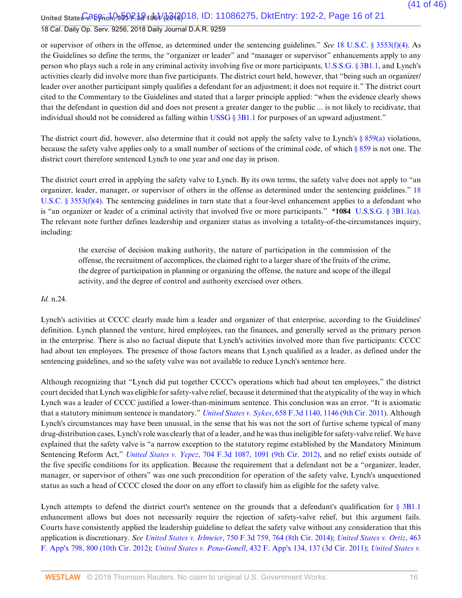United State<del>s CREGrich, 959 R.3d 1061 (2018</del> 018, ID: 11086275, DktEntry: 192-2, Page 16 of 21 18 Cal. Daily Op. Serv. 9256, 2018 Daily Journal D.A.R. 9259

or supervisor of others in the offense, as determined under the sentencing guidelines." *See* 18 U.S.C. § 3553(f)(4). As the Guidelines so define the terms, the "organizer or leader" and "manager or supervisor" enhancements apply to any person who plays such a role in any criminal activity involving five or more participants, U.S.S.G. § 3B1.1, and Lynch's activities clearly did involve more than five participants. The district court held, however, that "being such an organizer/ leader over another participant simply qualifies a defendant for an adjustment; it does not require it." The district court cited to the Commentary to the Guidelines and stated that a larger principle applied: "when the evidence clearly shows that the defendant in question did and does not present a greater danger to the public ... is not likely to recidivate, that individual should not be considered as falling within USSG  $\S 3B1.1$  for purposes of an upward adjustment."

The district court did, however, also determine that it could not apply the safety valve to Lynch's  $\S 859(a)$  violations, because the safety valve applies only to a small number of sections of the criminal code, of which § 859 is not one. The district court therefore sentenced Lynch to one year and one day in prison.

The district court erred in applying the safety valve to Lynch. By its own terms, the safety valve does not apply to "an organizer, leader, manager, or supervisor of others in the offense as determined under the sentencing guidelines." 18 U.S.C. § 3553(f)(4). The sentencing guidelines in turn state that a four-level enhancement applies to a defendant who is "an organizer or leader of a criminal activity that involved five or more participants." **\*1084** U.S.S.G. § 3B1.1(a). The relevant note further defines leadership and organizer status as involving a totality-of-the-circumstances inquiry, including:

the exercise of decision making authority, the nature of participation in the commission of the offense, the recruitment of accomplices, the claimed right to a larger share of the fruits of the crime, the degree of participation in planning or organizing the offense, the nature and scope of the illegal activity, and the degree of control and authority exercised over others.

*Id.* n.24.

Lynch's activities at CCCC clearly made him a leader and organizer of that enterprise, according to the Guidelines' definition. Lynch planned the venture, hired employees, ran the finances, and generally served as the primary person in the enterprise. There is also no factual dispute that Lynch's activities involved more than five participants: CCCC had about ten employees. The presence of those factors means that Lynch qualified as a leader, as defined under the sentencing guidelines, and so the safety valve was not available to reduce Lynch's sentence here.

Although recognizing that "Lynch did put together CCCC's operations which had about ten employees," the district court decided that Lynch was eligible for safety-valve relief, because it determined that the atypicality of the way in which Lynch was a leader of CCCC justified a lower-than-minimum sentence. This conclusion was an error. "It is axiomatic that a statutory minimum sentence is mandatory." *United States v. Sykes*, 658 F.3d 1140, 1146 (9th Cir. 2011). Although Lynch's circumstances may have been unusual, in the sense that his was not the sort of furtive scheme typical of many drug-distribution cases, Lynch's role was clearly that of a leader, and he was thus ineligible for safety-valve relief. We have explained that the safety valve is "a narrow exception to the statutory regime established by the Mandatory Minimum Sentencing Reform Act," *United States v. Yepez*, 704 F.3d 1087, 1091 (9th Cir. 2012), and no relief exists outside of the five specific conditions for its application. Because the requirement that a defendant not be a "organizer, leader, manager, or supervisor of others" was one such precondition for operation of the safety valve, Lynch's unquestioned status as such a head of CCCC closed the door on any effort to classify him as eligible for the safety valve.

Lynch attempts to defend the district court's sentence on the grounds that a defendant's qualification for § 3B1.1 enhancement allows but does not necessarily require the rejection of safety-valve relief, but this argument fails. Courts have consistently applied the leadership guideline to defeat the safety valve without any consideration that this application is discretionary. *See United States v. Irlmeier*, 750 F.3d 759, 764 (8th Cir. 2014); *United States v. Ortiz*, 463 F. App'x 798, 800 (10th Cir. 2012); *United States v. Pena-Gonell*, 432 F. App'x 134, 137 (3d Cir. 2011); *United States v.*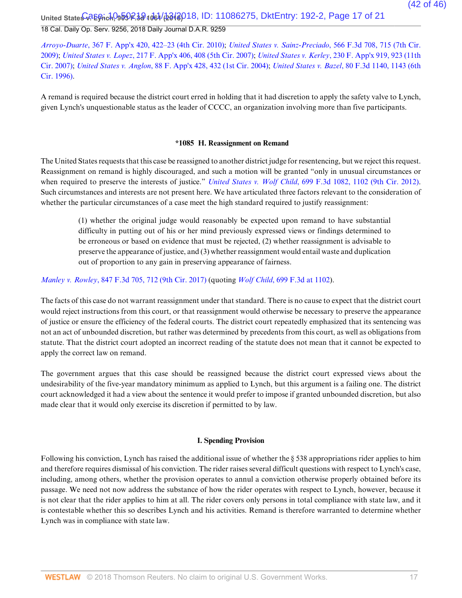United State<del>s CREGrich, 959R.30</del>1061/62018, ID: 11086275, DktEntry: 192-2, Page 17 of 21 18 Cal. Daily Op. Serv. 9256, 2018 Daily Journal D.A.R. 9259

*Arroyo-Duarte*, 367 F. App'x 420, 422–23 (4th Cir. 2010); *United States v. Sainz-Preciado*, 566 F.3d 708, 715 (7th Cir. 2009); *United States v. Lopez*, 217 F. App'x 406, 408 (5th Cir. 2007); *United States v. Kerley*, 230 F. App'x 919, 923 (11th Cir. 2007); *United States v. Anglon*, 88 F. App'x 428, 432 (1st Cir. 2004); *United States v. Bazel*, 80 F.3d 1140, 1143 (6th Cir. 1996).

A remand is required because the district court erred in holding that it had discretion to apply the safety valve to Lynch, given Lynch's unquestionable status as the leader of CCCC, an organization involving more than five participants.

#### **\*1085 H. Reassignment on Remand**

The United States requests that this case be reassigned to another district judge for resentencing, but we reject this request. Reassignment on remand is highly discouraged, and such a motion will be granted "only in unusual circumstances or when required to preserve the interests of justice." *United States v. Wolf Child*, 699 F.3d 1082, 1102 (9th Cir. 2012). Such circumstances and interests are not present here. We have articulated three factors relevant to the consideration of whether the particular circumstances of a case meet the high standard required to justify reassignment:

(1) whether the original judge would reasonably be expected upon remand to have substantial difficulty in putting out of his or her mind previously expressed views or findings determined to be erroneous or based on evidence that must be rejected, (2) whether reassignment is advisable to preserve the appearance of justice, and (3) whether reassignment would entail waste and duplication out of proportion to any gain in preserving appearance of fairness.

*Manley v. Rowley*, 847 F.3d 705, 712 (9th Cir. 2017) (quoting *Wolf Child*, 699 F.3d at 1102).

The facts of this case do not warrant reassignment under that standard. There is no cause to expect that the district court would reject instructions from this court, or that reassignment would otherwise be necessary to preserve the appearance of justice or ensure the efficiency of the federal courts. The district court repeatedly emphasized that its sentencing was not an act of unbounded discretion, but rather was determined by precedents from this court, as well as obligations from statute. That the district court adopted an incorrect reading of the statute does not mean that it cannot be expected to apply the correct law on remand.

The government argues that this case should be reassigned because the district court expressed views about the undesirability of the five-year mandatory minimum as applied to Lynch, but this argument is a failing one. The district court acknowledged it had a view about the sentence it would prefer to impose if granted unbounded discretion, but also made clear that it would only exercise its discretion if permitted to by law.

### **I. Spending Provision**

Following his conviction, Lynch has raised the additional issue of whether the § 538 appropriations rider applies to him and therefore requires dismissal of his conviction. The rider raises several difficult questions with respect to Lynch's case, including, among others, whether the provision operates to annul a conviction otherwise properly obtained before its passage. We need not now address the substance of how the rider operates with respect to Lynch, however, because it is not clear that the rider applies to him at all. The rider covers only persons in total compliance with state law, and it is contestable whether this so describes Lynch and his activities. Remand is therefore warranted to determine whether Lynch was in compliance with state law.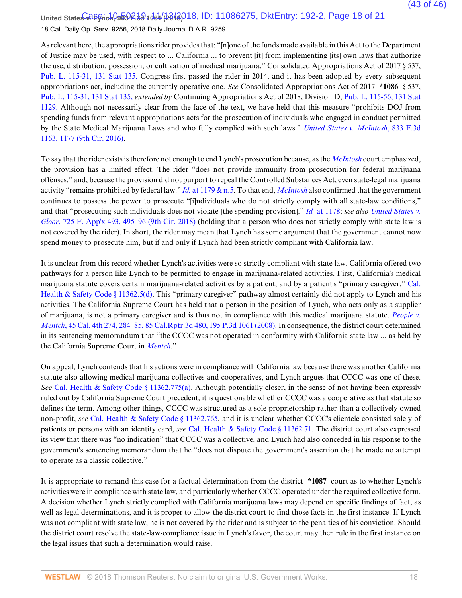United State<del>s 0.2 Egrich, 959 R.3d 1061 (23 13 0</del> 18, ID: 11086275, DktEntry: 192-2, Page 18 of 21 18 Cal. Daily Op. Serv. 9256, 2018 Daily Journal D.A.R. 9259

As relevant here, the appropriations rider provides that: "[n]one of the funds made available in this Act to the Department of Justice may be used, with respect to ... California ... to prevent [it] from implementing [its] own laws that authorize the use, distribution, possession, or cultivation of medical marijuana." Consolidated Appropriations Act of 2017 § 537, Pub. L. 115-31, 131 Stat 135. Congress first passed the rider in 2014, and it has been adopted by every subsequent appropriations act, including the currently operative one. *See* Consolidated Appropriations Act of 2017 **\*1086** § 537, Pub. L. 115-31, 131 Stat 135, *extended by* Continuing Appropriations Act of 2018, Division D, Pub. L. 115-56, 131 Stat 1129. Although not necessarily clear from the face of the text, we have held that this measure "prohibits DOJ from spending funds from relevant appropriations acts for the prosecution of individuals who engaged in conduct permitted by the State Medical Marijuana Laws and who fully complied with such laws." *United States v. McIntosh*, 833 F.3d 1163, 1177 (9th Cir. 2016).

To say that the rider exists is therefore not enough to end Lynch's prosecution because, as the *McIntosh* court emphasized, the provision has a limited effect. The rider "does not provide immunity from prosecution for federal marijuana offenses," and, because the provision did not purport to repeal the Controlled Substances Act, even state-legal marijuana activity "remains prohibited by federal law." *Id.* at 1179 & n.5. To that end, *McIntosh* also confirmed that the government continues to possess the power to prosecute "[i]ndividuals who do not strictly comply with all state-law conditions," and that "prosecuting such individuals does not violate [the spending provision]." *Id.* at 1178; *see also United States v. Gloor*, 725 F. App'x 493, 495–96 (9th Cir. 2018) (holding that a person who does not strictly comply with state law is not covered by the rider). In short, the rider may mean that Lynch has some argument that the government cannot now spend money to prosecute him, but if and only if Lynch had been strictly compliant with California law.

It is unclear from this record whether Lynch's activities were so strictly compliant with state law. California offered two pathways for a person like Lynch to be permitted to engage in marijuana-related activities. First, California's medical marijuana statute covers certain marijuana-related activities by a patient, and by a patient's "primary caregiver." Cal. Health & Safety Code § 11362.5(d). This "primary caregiver" pathway almost certainly did not apply to Lynch and his activities. The California Supreme Court has held that a person in the position of Lynch, who acts only as a supplier of marijuana, is not a primary caregiver and is thus not in compliance with this medical marijuana statute. *People v. Mentch*, 45 Cal. 4th 274, 284–85, 85 Cal.Rptr.3d 480, 195 P.3d 1061 (2008). In consequence, the district court determined in its sentencing memorandum that "the CCCC was not operated in conformity with California state law ... as held by the California Supreme Court in *Mentch*."

On appeal, Lynch contends that his actions were in compliance with California law because there was another California statute also allowing medical marijuana collectives and cooperatives, and Lynch argues that CCCC was one of these. *See* Cal. Health & Safety Code § 11362.775(a). Although potentially closer, in the sense of not having been expressly ruled out by California Supreme Court precedent, it is questionable whether CCCC was a cooperative as that statute so defines the term. Among other things, CCCC was structured as a sole proprietorship rather than a collectively owned non-profit, *see* Cal. Health & Safety Code § 11362.765, and it is unclear whether CCCC's clientele consisted solely of patients or persons with an identity card, *see* Cal. Health & Safety Code § 11362.71. The district court also expressed its view that there was "no indication" that CCCC was a collective, and Lynch had also conceded in his response to the government's sentencing memorandum that he "does not dispute the government's assertion that he made no attempt to operate as a classic collective."

It is appropriate to remand this case for a factual determination from the district **\*1087** court as to whether Lynch's activities were in compliance with state law, and particularly whether CCCC operated under the required collective form. A decision whether Lynch strictly complied with California marijuana laws may depend on specific findings of fact, as well as legal determinations, and it is proper to allow the district court to find those facts in the first instance. If Lynch was not compliant with state law, he is not covered by the rider and is subject to the penalties of his conviction. Should the district court resolve the state-law-compliance issue in Lynch's favor, the court may then rule in the first instance on the legal issues that such a determination would raise.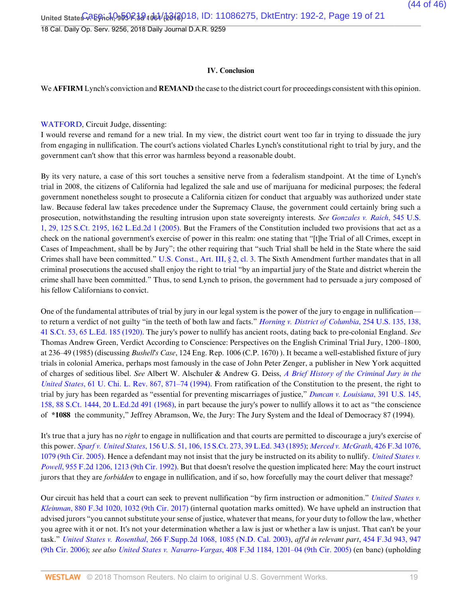18 Cal. Daily Op. Serv. 9256, 2018 Daily Journal D.A.R. 9259

#### **IV. Conclusion**

We **AFFIRM** Lynch's conviction and **REMAND** the case to the district court for proceedings consistent with this opinion.

#### WATFORD, Circuit Judge, dissenting:

I would reverse and remand for a new trial. In my view, the district court went too far in trying to dissuade the jury from engaging in nullification. The court's actions violated Charles Lynch's constitutional right to trial by jury, and the government can't show that this error was harmless beyond a reasonable doubt.

By its very nature, a case of this sort touches a sensitive nerve from a federalism standpoint. At the time of Lynch's trial in 2008, the citizens of California had legalized the sale and use of marijuana for medicinal purposes; the federal government nonetheless sought to prosecute a California citizen for conduct that arguably was authorized under state law. Because federal law takes precedence under the Supremacy Clause, the government could certainly bring such a prosecution, notwithstanding the resulting intrusion upon state sovereignty interests. *See Gonzales v. Raich*, 545 U.S. 1, 29, 125 S.Ct. 2195, 162 L.Ed.2d 1 (2005). But the Framers of the Constitution included two provisions that act as a check on the national government's exercise of power in this realm: one stating that "[t]he Trial of all Crimes, except in Cases of Impeachment, shall be by Jury"; the other requiring that "such Trial shall be held in the State where the said Crimes shall have been committed." U.S. Const., Art. III, § 2, cl. 3. The Sixth Amendment further mandates that in all criminal prosecutions the accused shall enjoy the right to trial "by an impartial jury of the State and district wherein the crime shall have been committed." Thus, to send Lynch to prison, the government had to persuade a jury composed of his fellow Californians to convict.

One of the fundamental attributes of trial by jury in our legal system is the power of the jury to engage in nullification to return a verdict of not guilty "in the teeth of both law and facts." *Horning v. District of Columbia*, 254 U.S. 135, 138, 41 S.Ct. 53, 65 L.Ed. 185 (1920). The jury's power to nullify has ancient roots, dating back to pre-colonial England. *See* Thomas Andrew Green, Verdict According to Conscience: Perspectives on the English Criminal Trial Jury, 1200–1800, at 236–49 (1985) (discussing *Bushell's Case*, 124 Eng. Rep. 1006 (C.P. 1670) ). It became a well-established fixture of jury trials in colonial America, perhaps most famously in the case of John Peter Zenger, a publisher in New York acquitted of charges of seditious libel. *See* Albert W. Alschuler & Andrew G. Deiss, *A Brief History of the Criminal Jury in the United States*, 61 U. Chi. L. Rev. 867, 871–74 (1994). From ratification of the Constitution to the present, the right to trial by jury has been regarded as "essential for preventing miscarriages of justice," *Duncan v. Louisiana*, 391 U.S. 145, 158, 88 S.Ct. 1444, 20 L.Ed.2d 491 (1968), in part because the jury's power to nullify allows it to act as "the conscience of **\*1088** the community," Jeffrey Abramson, We, the Jury: The Jury System and the Ideal of Democracy 87 (1994).

It's true that a jury has no *right* to engage in nullification and that courts are permitted to discourage a jury's exercise of this power. *Sparf v. United States*, 156 U.S. 51, 106, 15 S.Ct. 273, 39 L.Ed. 343 (1895); *Merced v. McGrath*, 426 F.3d 1076, 1079 (9th Cir. 2005). Hence a defendant may not insist that the jury be instructed on its ability to nullify. *United States v. Powell*, 955 F.2d 1206, 1213 (9th Cir. 1992). But that doesn't resolve the question implicated here: May the court instruct jurors that they are *forbidden* to engage in nullification, and if so, how forcefully may the court deliver that message?

Our circuit has held that a court can seek to prevent nullification "by firm instruction or admonition." *United States v. Kleinman*, 880 F.3d 1020, 1032 (9th Cir. 2017) (internal quotation marks omitted). We have upheld an instruction that advised jurors "you cannot substitute your sense of justice, whatever that means, for your duty to follow the law, whether you agree with it or not. It's not your determination whether a law is just or whether a law is unjust. That can't be your task." *United States v. Rosenthal*, 266 F.Supp.2d 1068, 1085 (N.D. Cal. 2003), *aff'd in relevant part*, 454 F.3d 943, 947 (9th Cir. 2006); *see also United States v. Navarro-Vargas*, 408 F.3d 1184, 1201–04 (9th Cir. 2005) (en banc) (upholding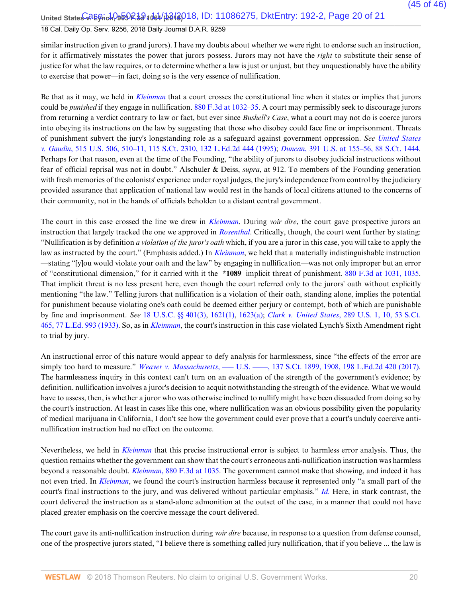United State<del>s 0.2 Egrich, 959 P.38 1061 (23 13 0</del> 10: 11086275, DktEntry: 192-2, Page 20 of 21

### 18 Cal. Daily Op. Serv. 9256, 2018 Daily Journal D.A.R. 9259

similar instruction given to grand jurors). I have my doubts about whether we were right to endorse such an instruction, for it affirmatively misstates the power that jurors possess. Jurors may not have the *right* to substitute their sense of justice for what the law requires, or to determine whether a law is just or unjust, but they unquestionably have the ability to exercise that power—in fact, doing so is the very essence of nullification.

Be that as it may, we held in *Kleinman* that a court crosses the constitutional line when it states or implies that jurors could be *punished* if they engage in nullification. 880 F.3d at 1032–35. A court may permissibly seek to discourage jurors from returning a verdict contrary to law or fact, but ever since *Bushell's Case*, what a court may not do is coerce jurors into obeying its instructions on the law by suggesting that those who disobey could face fine or imprisonment. Threats of punishment subvert the jury's longstanding role as a safeguard against government oppression. *See United States v. Gaudin*, 515 U.S. 506, 510–11, 115 S.Ct. 2310, 132 L.Ed.2d 444 (1995); *Duncan*, 391 U.S. at 155–56, 88 S.Ct. 1444. Perhaps for that reason, even at the time of the Founding, "the ability of jurors to disobey judicial instructions without fear of official reprisal was not in doubt." Alschuler & Deiss, *supra*, at 912. To members of the Founding generation with fresh memories of the colonists' experience under royal judges, the jury's independence from control by the judiciary provided assurance that application of national law would rest in the hands of local citizens attuned to the concerns of their community, not in the hands of officials beholden to a distant central government.

The court in this case crossed the line we drew in *Kleinman*. During *voir dire*, the court gave prospective jurors an instruction that largely tracked the one we approved in *Rosenthal*. Critically, though, the court went further by stating: "Nullification is by definition *a violation of the juror's oath* which, if you are a juror in this case, you will take to apply the law as instructed by the court." (Emphasis added.) In *Kleinman*, we held that a materially indistinguishable instruction —stating "[y]ou would violate your oath and the law" by engaging in nullification—was not only improper but an error of "constitutional dimension," for it carried with it the **\*1089** implicit threat of punishment. 880 F.3d at 1031, 1035. That implicit threat is no less present here, even though the court referred only to the jurors' oath without explicitly mentioning "the law." Telling jurors that nullification is a violation of their oath, standing alone, implies the potential for punishment because violating one's oath could be deemed either perjury or contempt, both of which are punishable by fine and imprisonment. *See* 18 U.S.C. §§ 401(3), 1621(1), 1623(a); *Clark v. United States*, 289 U.S. 1, 10, 53 S.Ct. 465, 77 L.Ed. 993 (1933). So, as in *Kleinman*, the court's instruction in this case violated Lynch's Sixth Amendment right to trial by jury.

An instructional error of this nature would appear to defy analysis for harmlessness, since "the effects of the error are simply too hard to measure." *Weaver v. Massachusetts*, — U.S. — , 137 S.Ct. 1899, 1908, 198 L.Ed.2d 420 (2017). The harmlessness inquiry in this context can't turn on an evaluation of the strength of the government's evidence; by definition, nullification involves a juror's decision to acquit notwithstanding the strength of the evidence. What we would have to assess, then, is whether a juror who was otherwise inclined to nullify might have been dissuaded from doing so by the court's instruction. At least in cases like this one, where nullification was an obvious possibility given the popularity of medical marijuana in California, I don't see how the government could ever prove that a court's unduly coercive antinullification instruction had no effect on the outcome.

Nevertheless, we held in *Kleinman* that this precise instructional error is subject to harmless error analysis. Thus, the question remains whether the government can show that the court's erroneous anti-nullification instruction was harmless beyond a reasonable doubt. *Kleinman*, 880 F.3d at 1035. The government cannot make that showing, and indeed it has not even tried. In *Kleinman*, we found the court's instruction harmless because it represented only "a small part of the court's final instructions to the jury, and was delivered without particular emphasis." *Id.* Here, in stark contrast, the court delivered the instruction as a stand-alone admonition at the outset of the case, in a manner that could not have placed greater emphasis on the coercive message the court delivered.

The court gave its anti-nullification instruction during *voir dire* because, in response to a question from defense counsel, one of the prospective jurors stated, "I believe there is something called jury nullification, that if you believe ... the law is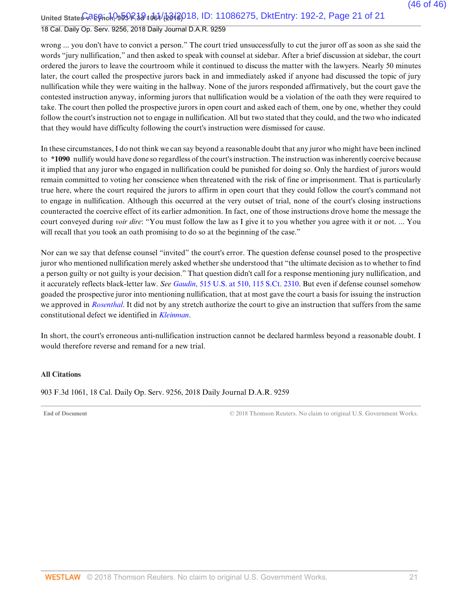United State<del>s CREGrich, 959 R.3d 1061 (2018</del> 018, ID: 11086275, DktEntry: 192-2, Page 21 of 21

### 18 Cal. Daily Op. Serv. 9256, 2018 Daily Journal D.A.R. 9259

wrong ... you don't have to convict a person." The court tried unsuccessfully to cut the juror off as soon as she said the words "jury nullification," and then asked to speak with counsel at sidebar. After a brief discussion at sidebar, the court ordered the jurors to leave the courtroom while it continued to discuss the matter with the lawyers. Nearly 50 minutes later, the court called the prospective jurors back in and immediately asked if anyone had discussed the topic of jury nullification while they were waiting in the hallway. None of the jurors responded affirmatively, but the court gave the contested instruction anyway, informing jurors that nullification would be a violation of the oath they were required to take. The court then polled the prospective jurors in open court and asked each of them, one by one, whether they could follow the court's instruction not to engage in nullification. All but two stated that they could, and the two who indicated that they would have difficulty following the court's instruction were dismissed for cause.

In these circumstances, I do not think we can say beyond a reasonable doubt that any juror who might have been inclined to **\*1090** nullify would have done so regardless of the court's instruction. The instruction was inherently coercive because it implied that any juror who engaged in nullification could be punished for doing so. Only the hardiest of jurors would remain committed to voting her conscience when threatened with the risk of fine or imprisonment. That is particularly true here, where the court required the jurors to affirm in open court that they could follow the court's command not to engage in nullification. Although this occurred at the very outset of trial, none of the court's closing instructions counteracted the coercive effect of its earlier admonition. In fact, one of those instructions drove home the message the court conveyed during *voir dire*: "You must follow the law as I give it to you whether you agree with it or not. ... You will recall that you took an oath promising to do so at the beginning of the case."

Nor can we say that defense counsel "invited" the court's error. The question defense counsel posed to the prospective juror who mentioned nullification merely asked whether she understood that "the ultimate decision as to whether to find a person guilty or not guilty is your decision." That question didn't call for a response mentioning jury nullification, and it accurately reflects black-letter law. *See Gaudin*, 515 U.S. at 510, 115 S.Ct. 2310. But even if defense counsel somehow goaded the prospective juror into mentioning nullification, that at most gave the court a basis for issuing the instruction we approved in *Rosenthal*. It did not by any stretch authorize the court to give an instruction that suffers from the same constitutional defect we identified in *Kleinman*.

In short, the court's erroneous anti-nullification instruction cannot be declared harmless beyond a reasonable doubt. I would therefore reverse and remand for a new trial.

#### **All Citations**

903 F.3d 1061, 18 Cal. Daily Op. Serv. 9256, 2018 Daily Journal D.A.R. 9259

**End of Document** C 2018 Thomson Reuters. No claim to original U.S. Government Works.